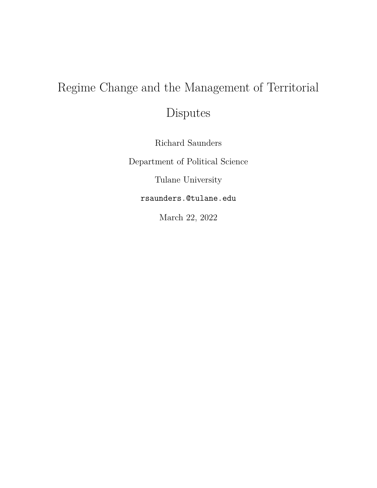## Regime Change and the Management of Territorial

Disputes

Richard Saunders

Department of Political Science

Tulane University

rsaunders.@tulane.edu

March 22, 2022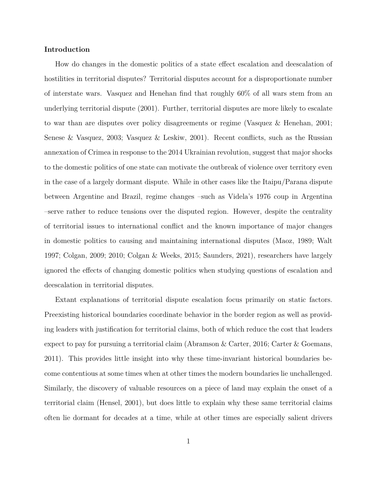#### **Introduction**

How do changes in the domestic politics of a state effect escalation and deescalation of hostilities in territorial disputes? Territorial disputes account for a disproportionate number of interstate wars. Vasquez and Henehan find that roughly 60% of all wars stem from an underlying territorial dispute (2001). Further, territorial disputes are more likely to escalate to war than are disputes over policy disagreements or regime (Vasquez & Henehan, 2001; Senese & Vasquez, 2003; Vasquez & Leskiw, 2001). Recent conflicts, such as the Russian annexation of Crimea in response to the 2014 Ukrainian revolution, suggest that major shocks to the domestic politics of one state can motivate the outbreak of violence over territory even in the case of a largely dormant dispute. While in other cases like the Itaipu/Parana dispute between Argentine and Brazil, regime changes –such as Videla's 1976 coup in Argentina –serve rather to reduce tensions over the disputed region. However, despite the centrality of territorial issues to international conflict and the known importance of major changes in domestic politics to causing and maintaining international disputes (Maoz, 1989; Walt 1997; Colgan, 2009; 2010; Colgan & Weeks, 2015; Saunders, 2021), researchers have largely ignored the effects of changing domestic politics when studying questions of escalation and deescalation in territorial disputes.

Extant explanations of territorial dispute escalation focus primarily on static factors. Preexisting historical boundaries coordinate behavior in the border region as well as providing leaders with justification for territorial claims, both of which reduce the cost that leaders expect to pay for pursuing a territorial claim (Abramson & Carter, 2016; Carter & Goemans, 2011). This provides little insight into why these time-invariant historical boundaries become contentious at some times when at other times the modern boundaries lie unchallenged. Similarly, the discovery of valuable resources on a piece of land may explain the onset of a territorial claim (Hensel, 2001), but does little to explain why these same territorial claims often lie dormant for decades at a time, while at other times are especially salient drivers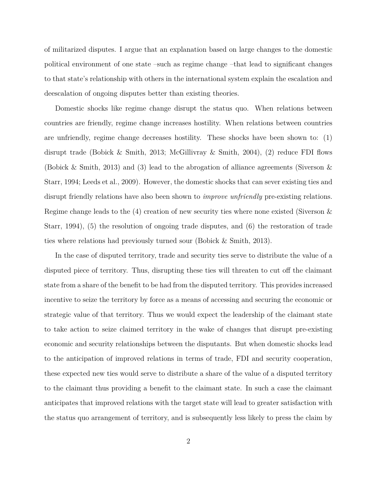of militarized disputes. I argue that an explanation based on large changes to the domestic political environment of one state –such as regime change –that lead to significant changes to that state's relationship with others in the international system explain the escalation and deescalation of ongoing disputes better than existing theories.

Domestic shocks like regime change disrupt the status quo. When relations between countries are friendly, regime change increases hostility. When relations between countries are unfriendly, regime change decreases hostility. These shocks have been shown to: (1) disrupt trade (Bobick & Smith, 2013; McGillivray & Smith, 2004), (2) reduce FDI flows (Bobick & Smith, 2013) and (3) lead to the abrogation of alliance agreements (Siverson & Starr, 1994; Leeds et al., 2009). However, the domestic shocks that can sever existing ties and disrupt friendly relations have also been shown to *improve unfriendly* pre-existing relations. Regime change leads to the (4) creation of new security ties where none existed (Siverson & Starr, 1994), (5) the resolution of ongoing trade disputes, and (6) the restoration of trade ties where relations had previously turned sour (Bobick & Smith, 2013).

In the case of disputed territory, trade and security ties serve to distribute the value of a disputed piece of territory. Thus, disrupting these ties will threaten to cut off the claimant state from a share of the benefit to be had from the disputed territory. This provides increased incentive to seize the territory by force as a means of accessing and securing the economic or strategic value of that territory. Thus we would expect the leadership of the claimant state to take action to seize claimed territory in the wake of changes that disrupt pre-existing economic and security relationships between the disputants. But when domestic shocks lead to the anticipation of improved relations in terms of trade, FDI and security cooperation, these expected new ties would serve to distribute a share of the value of a disputed territory to the claimant thus providing a benefit to the claimant state. In such a case the claimant anticipates that improved relations with the target state will lead to greater satisfaction with the status quo arrangement of territory, and is subsequently less likely to press the claim by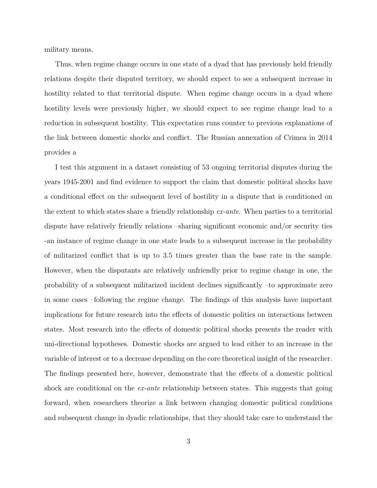military means.

Thus, when regime change occurs in one state of a dyad that has previously held friendly relations despite their disputed territory, we should expect to see a subsequent increase in hostility related to that territorial dispute. When regime change occurs in a dyad where hostility levels were previously higher, we should expect to see regime change lead to a reduction in subsequent hostility. This expectation runs counter to previous explanations of the link between domestic shocks and conflict. The Russian annexation of Crimea in 2014 provides a

I test this argument in a dataset consisting of 53 ongoing territorial disputes during the years 1945-2001 and find evidence to support the claim that domestic political shocks have a conditional effect on the subsequent level of hostility in a dispute that is conditioned on the extent to which states share a friendly relationship *ex-ante*. When parties to a territorial dispute have relatively friendly relations –sharing significant economic and/or security ties -an instance of regime change in one state leads to a subsequent increase in the probability of militarized conflict that is up to 3.5 times greater than the base rate in the sample. However, when the disputants are relatively unfriendly prior to regime change in one, the probability of a subsequent militarized incident declines significantly –to approximate zero in some cases –following the regime change. The findings of this analysis have important implications for future research into the effects of domestic politics on interactions between states. Most research into the effects of domestic political shocks presents the reader with uni-directional hypotheses. Domestic shocks are argued to lead either to an increase in the variable of interest or to a decrease depending on the core theoretical insight of the researcher. The findings presented here, however, demonstrate that the effects of a domestic political shock are conditional on the *ex-ante* relationship between states. This suggests that going forward, when researchers theorize a link between changing domestic political conditions and subsequent change in dyadic relationships, that they should take care to understand the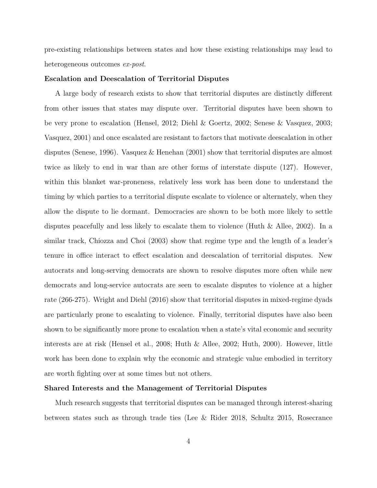pre-existing relationships between states and how these existing relationships may lead to heterogeneous outcomes *ex-post*.

#### **Escalation and Deescalation of Territorial Disputes**

A large body of research exists to show that territorial disputes are distinctly different from other issues that states may dispute over. Territorial disputes have been shown to be very prone to escalation (Hensel, 2012; Diehl & Goertz, 2002; Senese & Vasquez, 2003; Vasquez, 2001) and once escalated are resistant to factors that motivate deescalation in other disputes (Senese, 1996). Vasquez & Henehan (2001) show that territorial disputes are almost twice as likely to end in war than are other forms of interstate dispute (127). However, within this blanket war-proneness, relatively less work has been done to understand the timing by which parties to a territorial dispute escalate to violence or alternately, when they allow the dispute to lie dormant. Democracies are shown to be both more likely to settle disputes peacefully and less likely to escalate them to violence (Huth & Allee, 2002). In a similar track, Chiozza and Choi (2003) show that regime type and the length of a leader's tenure in office interact to effect escalation and deescalation of territorial disputes. New autocrats and long-serving democrats are shown to resolve disputes more often while new democrats and long-service autocrats are seen to escalate disputes to violence at a higher rate (266-275). Wright and Diehl (2016) show that territorial disputes in mixed-regime dyads are particularly prone to escalating to violence. Finally, territorial disputes have also been shown to be significantly more prone to escalation when a state's vital economic and security interests are at risk (Hensel et al., 2008; Huth & Allee, 2002; Huth, 2000). However, little work has been done to explain why the economic and strategic value embodied in territory are worth fighting over at some times but not others.

#### **Shared Interests and the Management of Territorial Disputes**

Much research suggests that territorial disputes can be managed through interest-sharing between states such as through trade ties (Lee & Rider 2018, Schultz 2015, Rosecrance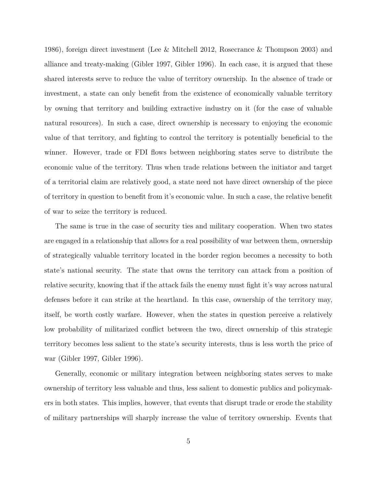1986), foreign direct investment (Lee & Mitchell 2012, Rosecrance & Thompson 2003) and alliance and treaty-making (Gibler 1997, Gibler 1996). In each case, it is argued that these shared interests serve to reduce the value of territory ownership. In the absence of trade or investment, a state can only benefit from the existence of economically valuable territory by owning that territory and building extractive industry on it (for the case of valuable natural resources). In such a case, direct ownership is necessary to enjoying the economic value of that territory, and fighting to control the territory is potentially beneficial to the winner. However, trade or FDI flows between neighboring states serve to distribute the economic value of the territory. Thus when trade relations between the initiator and target of a territorial claim are relatively good, a state need not have direct ownership of the piece of territory in question to benefit from it's economic value. In such a case, the relative benefit of war to seize the territory is reduced.

The same is true in the case of security ties and military cooperation. When two states are engaged in a relationship that allows for a real possibility of war between them, ownership of strategically valuable territory located in the border region becomes a necessity to both state's national security. The state that owns the territory can attack from a position of relative security, knowing that if the attack fails the enemy must fight it's way across natural defenses before it can strike at the heartland. In this case, ownership of the territory may, itself, be worth costly warfare. However, when the states in question perceive a relatively low probability of militarized conflict between the two, direct ownership of this strategic territory becomes less salient to the state's security interests, thus is less worth the price of war (Gibler 1997, Gibler 1996).

Generally, economic or military integration between neighboring states serves to make ownership of territory less valuable and thus, less salient to domestic publics and policymakers in both states. This implies, however, that events that disrupt trade or erode the stability of military partnerships will sharply increase the value of territory ownership. Events that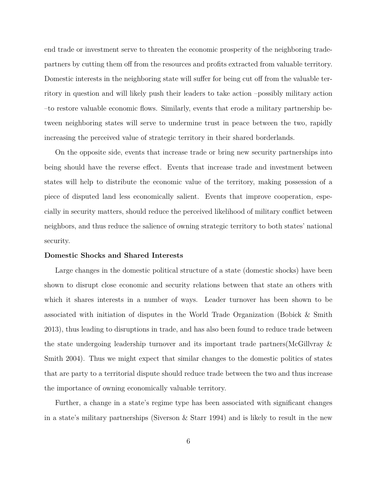end trade or investment serve to threaten the economic prosperity of the neighboring tradepartners by cutting them off from the resources and profits extracted from valuable territory. Domestic interests in the neighboring state will suffer for being cut off from the valuable territory in question and will likely push their leaders to take action –possibly military action –to restore valuable economic flows. Similarly, events that erode a military partnership between neighboring states will serve to undermine trust in peace between the two, rapidly increasing the perceived value of strategic territory in their shared borderlands.

On the opposite side, events that increase trade or bring new security partnerships into being should have the reverse effect. Events that increase trade and investment between states will help to distribute the economic value of the territory, making possession of a piece of disputed land less economically salient. Events that improve cooperation, especially in security matters, should reduce the perceived likelihood of military conflict between neighbors, and thus reduce the salience of owning strategic territory to both states' national security.

#### **Domestic Shocks and Shared Interests**

Large changes in the domestic political structure of a state (domestic shocks) have been shown to disrupt close economic and security relations between that state an others with which it shares interests in a number of ways. Leader turnover has been shown to be associated with initiation of disputes in the World Trade Organization (Bobick & Smith 2013), thus leading to disruptions in trade, and has also been found to reduce trade between the state undergoing leadership turnover and its important trade partners(McGillvray & Smith 2004). Thus we might expect that similar changes to the domestic politics of states that are party to a territorial dispute should reduce trade between the two and thus increase the importance of owning economically valuable territory.

Further, a change in a state's regime type has been associated with significant changes in a state's military partnerships (Siverson & Starr 1994) and is likely to result in the new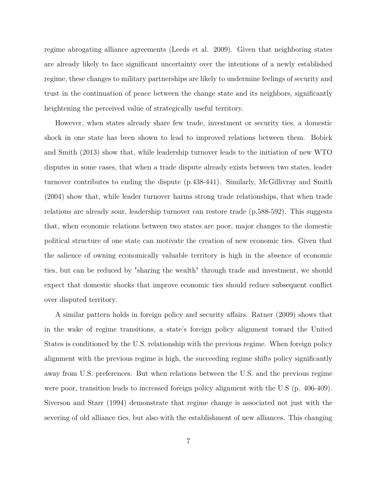regime abrogating alliance agreements (Leeds et al. 2009). Given that neighboring states are already likely to face significant uncertainty over the intentions of a newly established regime, these changes to military partnerships are likely to undermine feelings of security and trust in the continuation of peace between the change state and its neighbors, significantly heightening the perceived value of strategically useful territory.

However, when states already share few trade, investment or security ties, a domestic shock in one state has been shown to lead to improved relations between them. Bobick and Smith (2013) show that, while leadership turnover leads to the initiation of new WTO disputes in some cases, that when a trade dispute already exists between two states, leader turnover contributes to ending the dispute (p.438-441). Similarly, McGillivray and Smith (2004) show that, while leader turnover harms strong trade relationships, that when trade relations are already sour, leadership turnover can restore trade (p.588-592). This suggests that, when economic relations between two states are poor, major changes to the domestic political structure of one state can motivate the creation of new economic ties. Given that the salience of owning economically valuable territory is high in the absence of economic ties, but can be reduced by "sharing the wealth" through trade and investment, we should expect that domestic shocks that improve economic ties should reduce subsequent conflict over disputed territory.

A similar pattern holds in foreign policy and security affairs. Ratner (2009) shows that in the wake of regime transitions, a state's foreign policy alignment toward the United States is conditioned by the U.S. relationship with the previous regime. When foreign policy alignment with the previous regime is high, the succeeding regime shifts policy significantly away from U.S. preferences. But when relations between the U.S. and the previous regime were poor, transition leads to increased foreign policy alignment with the U.S (p. 406-409). Siverson and Starr (1994) demonstrate that regime change is associated not just with the severing of old alliance ties, but also with the establishment of new alliances. This changing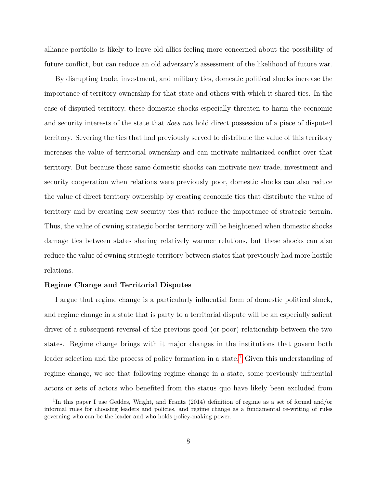alliance portfolio is likely to leave old allies feeling more concerned about the possibility of future conflict, but can reduce an old adversary's assessment of the likelihood of future war.

By disrupting trade, investment, and military ties, domestic political shocks increase the importance of territory ownership for that state and others with which it shared ties. In the case of disputed territory, these domestic shocks especially threaten to harm the economic and security interests of the state that *does not* hold direct possession of a piece of disputed territory. Severing the ties that had previously served to distribute the value of this territory increases the value of territorial ownership and can motivate militarized conflict over that territory. But because these same domestic shocks can motivate new trade, investment and security cooperation when relations were previously poor, domestic shocks can also reduce the value of direct territory ownership by creating economic ties that distribute the value of territory and by creating new security ties that reduce the importance of strategic terrain. Thus, the value of owning strategic border territory will be heightened when domestic shocks damage ties between states sharing relatively warmer relations, but these shocks can also reduce the value of owning strategic territory between states that previously had more hostile relations.

#### **Regime Change and Territorial Disputes**

I argue that regime change is a particularly influential form of domestic political shock, and regime change in a state that is party to a territorial dispute will be an especially salient driver of a subsequent reversal of the previous good (or poor) relationship between the two states. Regime change brings with it major changes in the institutions that govern both leader selection and the process of policy formation in a state.<sup>[1](#page-8-0)</sup> Given this understanding of regime change, we see that following regime change in a state, some previously influential actors or sets of actors who benefited from the status quo have likely been excluded from

<span id="page-8-0"></span><sup>&</sup>lt;sup>1</sup>In this paper I use Geddes, Wright, and Frantz (2014) definition of regime as a set of formal and/or informal rules for choosing leaders and policies, and regime change as a fundamental re-writing of rules governing who can be the leader and who holds policy-making power.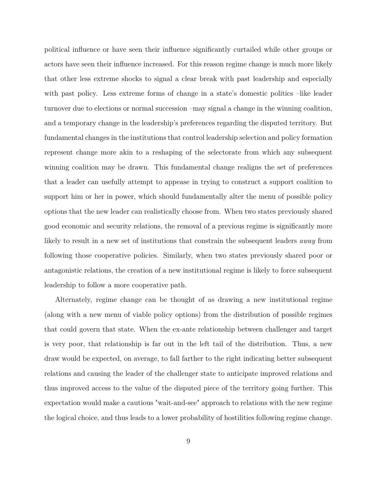political influence or have seen their influence significantly curtailed while other groups or actors have seen their influence increased. For this reason regime change is much more likely that other less extreme shocks to signal a clear break with past leadership and especially with past policy. Less extreme forms of change in a state's domestic politics –like leader turnover due to elections or normal succession –may signal a change in the winning coalition, and a temporary change in the leadership's preferences regarding the disputed territory. But fundamental changes in the institutions that control leadership selection and policy formation represent change more akin to a reshaping of the selectorate from which any subsequent winning coalition may be drawn. This fundamental change realigns the set of preferences that a leader can usefully attempt to appease in trying to construct a support coalition to support him or her in power, which should fundamentally alter the menu of possible policy options that the new leader can realistically choose from. When two states previously shared good economic and security relations, the removal of a previous regime is significantly more likely to result in a new set of institutions that constrain the subsequent leaders *away* from following those cooperative policies. Similarly, when two states previously shared poor or antagonistic relations, the creation of a new institutional regime is likely to force subsequent leadership to follow a more cooperative path.

Alternately, regime change can be thought of as drawing a new institutional regime (along with a new menu of viable policy options) from the distribution of possible regimes that could govern that state. When the ex-ante relationship between challenger and target is very poor, that relationship is far out in the left tail of the distribution. Thus, a new draw would be expected, on average, to fall farther to the right indicating better subsequent relations and causing the leader of the challenger state to anticipate improved relations and thus improved access to the value of the disputed piece of the territory going further. This expectation would make a cautious "wait-and-see" approach to relations with the new regime the logical choice, and thus leads to a lower probability of hostilities following regime change.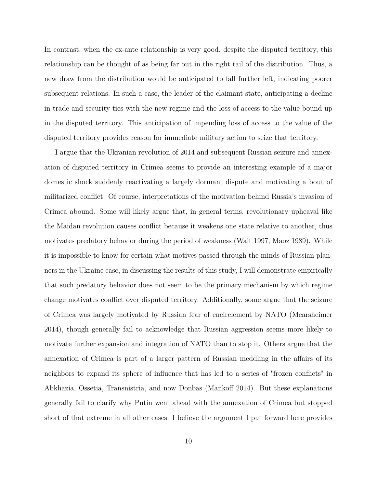In contrast, when the ex-ante relationship is very good, despite the disputed territory, this relationship can be thought of as being far out in the right tail of the distribution. Thus, a new draw from the distribution would be anticipated to fall further left, indicating poorer subsequent relations. In such a case, the leader of the claimant state, anticipating a decline in trade and security ties with the new regime and the loss of access to the value bound up in the disputed territory. This anticipation of impending loss of access to the value of the disputed territory provides reason for immediate military action to seize that territory.

I argue that the Ukranian revolution of 2014 and subsequent Russian seizure and annexation of disputed territory in Crimea seems to provide an interesting example of a major domestic shock suddenly reactivating a largely dormant dispute and motivating a bout of militarized conflict. Of course, interpretations of the motivation behind Russia's invasion of Crimea abound. Some will likely argue that, in general terms, revolutionary upheaval like the Maidan revolution causes conflict because it weakens one state relative to another, thus motivates predatory behavior during the period of weakness (Walt 1997, Maoz 1989). While it is impossible to know for certain what motives passed through the minds of Russian planners in the Ukraine case, in discussing the results of this study, I will demonstrate empirically that such predatory behavior does not seem to be the primary mechanism by which regime change motivates conflict over disputed territory. Additionally, some argue that the seizure of Crimea was largely motivated by Russian fear of encirclement by NATO (Mearsheimer 2014), though generally fail to acknowledge that Russian aggression seems more likely to motivate further expansion and integration of NATO than to stop it. Others argue that the annexation of Crimea is part of a larger pattern of Russian meddling in the affairs of its neighbors to expand its sphere of influence that has led to a series of "frozen conflicts" in Abkhazia, Ossetia, Transnistria, and now Donbas (Mankoff 2014). But these explanations generally fail to clarify why Putin went ahead with the annexation of Crimea but stopped short of that extreme in all other cases. I believe the argument I put forward here provides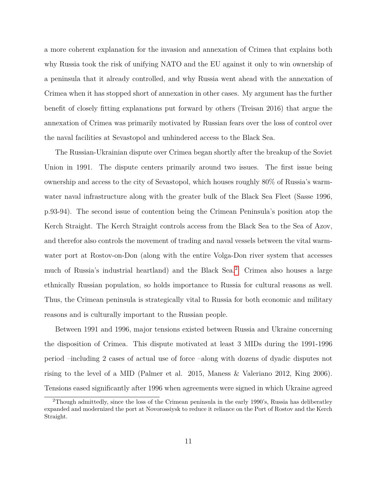a more coherent explanation for the invasion and annexation of Crimea that explains both why Russia took the risk of unifying NATO and the EU against it only to win ownership of a peninsula that it already controlled, and why Russia went ahead with the annexation of Crimea when it has stopped short of annexation in other cases. My argument has the further benefit of closely fitting explanations put forward by others (Treisan 2016) that argue the annexation of Crimea was primarily motivated by Russian fears over the loss of control over the naval facilities at Sevastopol and unhindered access to the Black Sea.

The Russian-Ukrainian dispute over Crimea began shortly after the breakup of the Soviet Union in 1991. The dispute centers primarily around two issues. The first issue being ownership and access to the city of Sevastopol, which houses roughly 80% of Russia's warmwater naval infrastructure along with the greater bulk of the Black Sea Fleet (Sasse 1996, p.93-94). The second issue of contention being the Crimean Peninsula's position atop the Kerch Straight. The Kerch Straight controls access from the Black Sea to the Sea of Azov, and therefor also controls the movement of trading and naval vessels between the vital warmwater port at Rostov-on-Don (along with the entire Volga-Don river system that accesses much of Russia's industrial heartland) and the Black Sea.[2](#page-11-0) Crimea also houses a large ethnically Russian population, so holds importance to Russia for cultural reasons as well. Thus, the Crimean peninsula is strategically vital to Russia for both economic and military reasons and is culturally important to the Russian people.

Between 1991 and 1996, major tensions existed between Russia and Ukraine concerning the disposition of Crimea. This dispute motivated at least 3 MIDs during the 1991-1996 period –including 2 cases of actual use of force –along with dozens of dyadic disputes not rising to the level of a MID (Palmer et al. 2015, Maness & Valeriano 2012, King 2006). Tensions eased significantly after 1996 when agreements were signed in which Ukraine agreed

<span id="page-11-0"></span><sup>2</sup>Though admittedly, since the loss of the Crimean peninsula in the early 1990's, Russia has deliberatley expanded and modernized the port at Novorossiysk to reduce it reliance on the Port of Rostov and the Kerch Straight.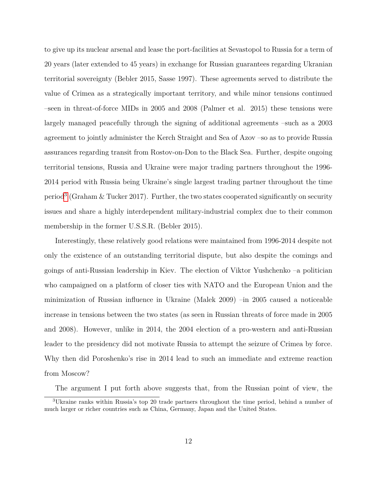to give up its nuclear arsenal and lease the port-facilities at Sevastopol to Russia for a term of 20 years (later extended to 45 years) in exchange for Russian guarantees regarding Ukranian territorial sovereignty (Bebler 2015, Sasse 1997). These agreements served to distribute the value of Crimea as a strategically important territory, and while minor tensions continued –seen in threat-of-force MIDs in 2005 and 2008 (Palmer et al. 2015) these tensions were largely managed peacefully through the signing of additional agreements –such as a 2003 agreement to jointly administer the Kerch Straight and Sea of Azov –so as to provide Russia assurances regarding transit from Rostov-on-Don to the Black Sea. Further, despite ongoing territorial tensions, Russia and Ukraine were major trading partners throughout the 1996- 2014 period with Russia being Ukraine's single largest trading partner throughout the time period<sup>[3](#page-12-0)</sup> (Graham & Tucker 2017). Further, the two states cooperated significantly on security issues and share a highly interdependent military-industrial complex due to their common membership in the former U.S.S.R. (Bebler 2015).

Interestingly, these relatively good relations were maintained from 1996-2014 despite not only the existence of an outstanding territorial dispute, but also despite the comings and goings of anti-Russian leadership in Kiev. The election of Viktor Yushchenko –a politician who campaigned on a platform of closer ties with NATO and the European Union and the minimization of Russian influence in Ukraine (Malek 2009) –in 2005 caused a noticeable increase in tensions between the two states (as seen in Russian threats of force made in 2005 and 2008). However, unlike in 2014, the 2004 election of a pro-western and anti-Russian leader to the presidency did not motivate Russia to attempt the seizure of Crimea by force. Why then did Poroshenko's rise in 2014 lead to such an immediate and extreme reaction from Moscow?

<span id="page-12-0"></span>The argument I put forth above suggests that, from the Russian point of view, the

<sup>3</sup>Ukraine ranks within Russia's top 20 trade partners throughout the time period, behind a number of much larger or richer countries such as China, Germany, Japan and the United States.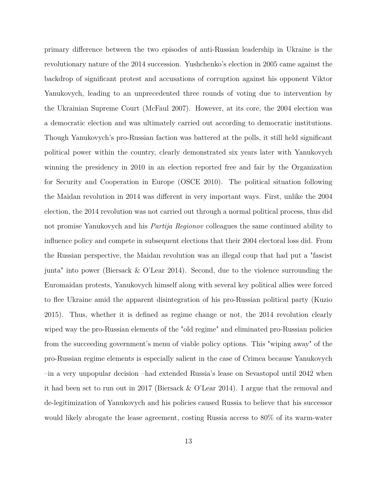primary difference between the two episodes of anti-Russian leadership in Ukraine is the revolutionary nature of the 2014 succession. Yushchenko's election in 2005 came against the backdrop of significant protest and accusations of corruption against his opponent Viktor Yanukovych, leading to an unprecedented three rounds of voting due to intervention by the Ukrainian Supreme Court (McFaul 2007). However, at its core, the 2004 election was a democratic election and was ultimately carried out according to democratic institutions. Though Yanukovych's pro-Russian faction was battered at the polls, it still held significant political power within the country, clearly demonstrated six years later with Yanukovych winning the presidency in 2010 in an election reported free and fair by the Organization for Security and Cooperation in Europe (OSCE 2010). The political situation following the Maidan revolution in 2014 was different in very important ways. First, unlike the 2004 election, the 2014 revolution was not carried out through a normal political process, thus did not promise Yanukovych and his *Partija Regionov* colleagues the same continued ability to influence policy and compete in subsequent elections that their 2004 electoral loss did. From the Russian perspective, the Maidan revolution was an illegal coup that had put a "fascist junta" into power (Biersack & O'Lear 2014). Second, due to the violence surrounding the Euromaidan protests, Yanukovych himself along with several key political allies were forced to flee Ukraine amid the apparent disintegration of his pro-Russian political party (Kuzio 2015). Thus, whether it is defined as regime change or not, the 2014 revolution clearly wiped way the pro-Russian elements of the "old regime" and eliminated pro-Russian policies from the succeeding government's menu of viable policy options. This "wiping away" of the pro-Russian regime elements is especially salient in the case of Crimea because Yanukovych –in a very unpopular decision –had extended Russia's lease on Sevastopol until 2042 when it had been set to run out in 2017 (Biersack & O'Lear 2014). I argue that the removal and de-legitimization of Yanukovych and his policies caused Russia to believe that his successor would likely abrogate the lease agreement, costing Russia access to 80% of its warm-water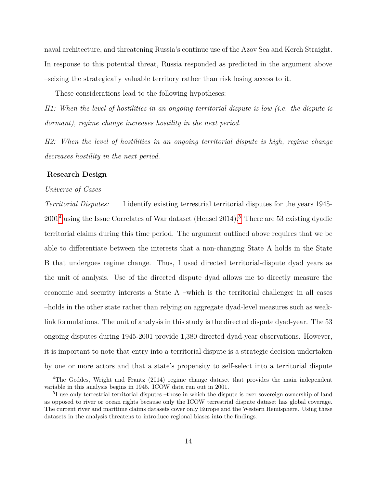naval architecture, and threatening Russia's continue use of the Azov Sea and Kerch Straight. In response to this potential threat, Russia responded as predicted in the argument above –seizing the strategically valuable territory rather than risk losing access to it.

These considerations lead to the following hypotheses:

*H1: When the level of hostilities in an ongoing territorial dispute is low (i.e. the dispute is dormant), regime change increases hostility in the next period.*

*H2: When the level of hostilities in an ongoing territorial dispute is high, regime change decreases hostility in the next period.*

#### **Research Design**

#### *Universe of Cases*

*Territorial Disputes:* I identify existing terrestrial territorial disputes for the years 1945-  $2001<sup>4</sup>$  $2001<sup>4</sup>$  $2001<sup>4</sup>$  using the Issue Correlates of War dataset (Hensel 2014).<sup>[5](#page-14-1)</sup> There are 53 existing dyadic territorial claims during this time period. The argument outlined above requires that we be able to differentiate between the interests that a non-changing State A holds in the State B that undergoes regime change. Thus, I used directed territorial-dispute dyad years as the unit of analysis. Use of the directed dispute dyad allows me to directly measure the economic and security interests a State A –which is the territorial challenger in all cases –holds in the other state rather than relying on aggregate dyad-level measures such as weaklink formulations. The unit of analysis in this study is the directed dispute dyad-year. The 53 ongoing disputes during 1945-2001 provide 1,380 directed dyad-year observations. However, it is important to note that entry into a territorial dispute is a strategic decision undertaken by one or more actors and that a state's propensity to self-select into a territorial dispute

<span id="page-14-0"></span><sup>&</sup>lt;sup>4</sup>The Geddes, Wright and Frantz (2014) regime change dataset that provides the main independent variable in this analysis begins in 1945. ICOW data run out in 2001.

<span id="page-14-1"></span><sup>&</sup>lt;sup>5</sup>I use only terrestrial territorial disputes -those in which the dispute is over sovereign ownership of land as opposed to river or ocean rights because only the ICOW terrestrial dispute dataset has global coverage. The current river and maritime claims datasets cover only Europe and the Western Hemisphere. Using these datasets in the analysis threatens to introduce regional biases into the findings.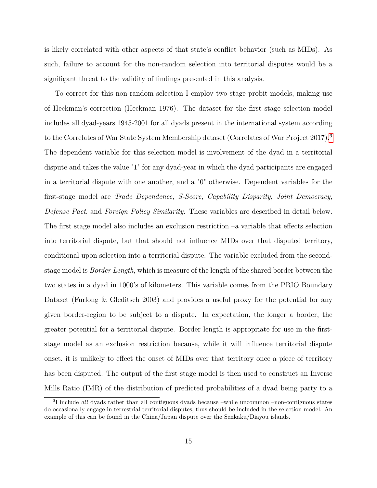is likely correlated with other aspects of that state's conflict behavior (such as MIDs). As such, failure to account for the non-random selection into territorial disputes would be a signifigant threat to the validity of findings presented in this analysis.

To correct for this non-random selection I employ two-stage probit models, making use of Heckman's correction (Heckman 1976). The dataset for the first stage selection model includes all dyad-years 1945-2001 for all dyads present in the international system according to the Correlates of War State System Membership dataset (Correlates of War Project 2017).[6](#page-15-0) The dependent variable for this selection model is involvement of the dyad in a territorial dispute and takes the value "1" for any dyad-year in which the dyad participants are engaged in a territorial dispute with one another, and a "0" otherwise. Dependent variables for the first-stage model are *Trade Dependence*, *S-Score*, *Capability Disparity*, *Joint Democracy*, *Defense Pact*, and *Foreign Policy Similarity*. These variables are described in detail below. The first stage model also includes an exclusion restriction –a variable that effects selection into territorial dispute, but that should not influence MIDs over that disputed territory, conditional upon selection into a territorial dispute. The variable excluded from the secondstage model is *Border Length*, which is measure of the length of the shared border between the two states in a dyad in 1000's of kilometers. This variable comes from the PRIO Boundary Dataset (Furlong & Gleditsch 2003) and provides a useful proxy for the potential for any given border-region to be subject to a dispute. In expectation, the longer a border, the greater potential for a territorial dispute. Border length is appropriate for use in the firststage model as an exclusion restriction because, while it will influence territorial dispute onset, it is unlikely to effect the onset of MIDs over that territory once a piece of territory has been disputed. The output of the first stage model is then used to construct an Inverse Mills Ratio (IMR) of the distribution of predicted probabilities of a dyad being party to a

<span id="page-15-0"></span><sup>6</sup> I include *all* dyads rather than all contiguous dyads because –while uncommon –non-contiguous states do occasionally engage in terrestrial territorial disputes, thus should be included in the selection model. An example of this can be found in the China/Japan dispute over the Senkaku/Diayou islands.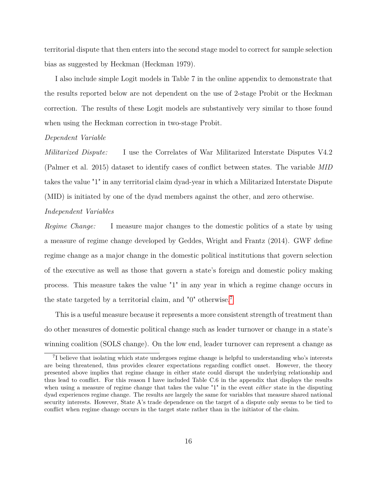territorial dispute that then enters into the second stage model to correct for sample selection bias as suggested by Heckman (Heckman 1979).

I also include simple Logit models in Table 7 in the online appendix to demonstrate that the results reported below are not dependent on the use of 2-stage Probit or the Heckman correction. The results of these Logit models are substantively very similar to those found when using the Heckman correction in two-stage Probit.

#### *Dependent Variable*

*Militarized Dispute:* I use the Correlates of War Militarized Interstate Disputes V4.2 (Palmer et al. 2015) dataset to identify cases of conflict between states. The variable *MID* takes the value "1" in any territorial claim dyad-year in which a Militarized Interstate Dispute (MID) is initiated by one of the dyad members against the other, and zero otherwise.

#### *Independent Variables*

*Regime Change:* I measure major changes to the domestic politics of a state by using a measure of regime change developed by Geddes, Wright and Frantz (2014). GWF define regime change as a major change in the domestic political institutions that govern selection of the executive as well as those that govern a state's foreign and domestic policy making process. This measure takes the value "1" in any year in which a regime change occurs in the state targeted by a territorial claim, and "0" otherwise.[7](#page-16-0)

This is a useful measure because it represents a more consistent strength of treatment than do other measures of domestic political change such as leader turnover or change in a state's winning coalition (SOLS change). On the low end, leader turnover can represent a change as

<span id="page-16-0"></span><sup>&</sup>lt;sup>7</sup>I believe that isolating which state undergoes regime change is helpful to understanding who's interests are being threatened, thus provides clearer expectations regarding conflict onset. However, the theory presented above implies that regime change in either state could disrupt the underlying relationship and thus lead to conflict. For this reason I have included Table C.6 in the appendix that displays the results when using a measure of regime change that takes the value "1" in the event *either* state in the disputing dyad experiences regime change. The results are largely the same for variables that measure shared national security interests. However, State A's trade dependence on the target of a dispute only seems to be tied to conflict when regime change occurs in the target state rather than in the initiator of the claim.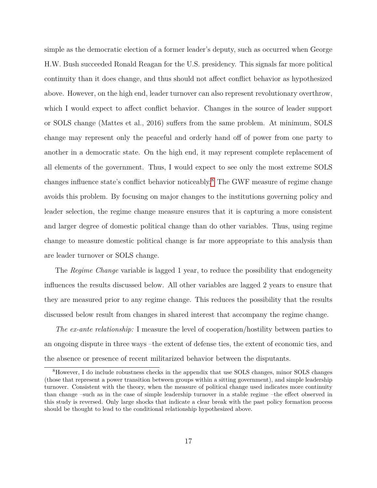simple as the democratic election of a former leader's deputy, such as occurred when George H.W. Bush succeeded Ronald Reagan for the U.S. presidency. This signals far more political continuity than it does change, and thus should not affect conflict behavior as hypothesized above. However, on the high end, leader turnover can also represent revolutionary overthrow, which I would expect to affect conflict behavior. Changes in the source of leader support or SOLS change (Mattes et al., 2016) suffers from the same problem. At minimum, SOLS change may represent only the peaceful and orderly hand off of power from one party to another in a democratic state. On the high end, it may represent complete replacement of all elements of the government. Thus, I would expect to see only the most extreme SOLS changes influence state's conflict behavior noticeably.[8](#page-17-0) The GWF measure of regime change avoids this problem. By focusing on major changes to the institutions governing policy and leader selection, the regime change measure ensures that it is capturing a more consistent and larger degree of domestic political change than do other variables. Thus, using regime change to measure domestic political change is far more appropriate to this analysis than are leader turnover or SOLS change.

The *Regime Change* variable is lagged 1 year, to reduce the possibility that endogeneity influences the results discussed below. All other variables are lagged 2 years to ensure that they are measured prior to any regime change. This reduces the possibility that the results discussed below result from changes in shared interest that accompany the regime change.

*The ex-ante relationship:* I measure the level of cooperation/hostility between parties to an ongoing dispute in three ways –the extent of defense ties, the extent of economic ties, and the absence or presence of recent militarized behavior between the disputants.

<span id="page-17-0"></span><sup>8</sup>However, I do include robustness checks in the appendix that use SOLS changes, minor SOLS changes (those that represent a power transition between groups within a sitting government), and simple leadership turnover. Consistent with the theory, when the measure of political change used indicates more continuity than change –such as in the case of simple leadership turnover in a stable regime –the effect observed in this study is reversed. Only large shocks that indicate a clear break with the past policy formation process should be thought to lead to the conditional relationship hypothesized above.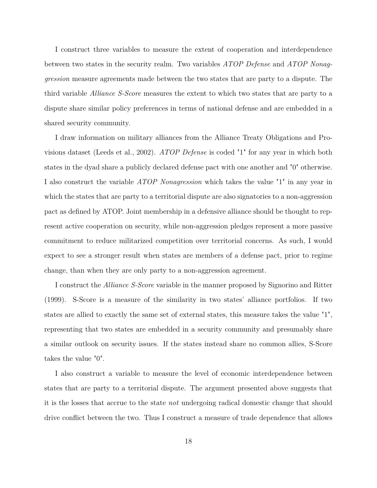I construct three variables to measure the extent of cooperation and interdependence between two states in the security realm. Two variables *ATOP Defense* and *ATOP Nonaggression* measure agreements made between the two states that are party to a dispute. The third variable *Alliance S-Score* measures the extent to which two states that are party to a dispute share similar policy preferences in terms of national defense and are embedded in a shared security community.

I draw information on military alliances from the Alliance Treaty Obligations and Provisions dataset (Leeds et al., 2002). *ATOP Defense* is coded "1" for any year in which both states in the dyad share a publicly declared defense pact with one another and "0" otherwise. I also construct the variable *ATOP Nonagression* which takes the value "1" in any year in which the states that are party to a territorial dispute are also signatories to a non-aggression pact as defined by ATOP. Joint membership in a defensive alliance should be thought to represent active cooperation on security, while non-aggression pledges represent a more passive commitment to reduce militarized competition over territorial concerns. As such, I would expect to see a stronger result when states are members of a defense pact, prior to regime change, than when they are only party to a non-aggression agreement.

I construct the *Alliance S-Score* variable in the manner proposed by Signorino and Ritter (1999). S-Score is a measure of the similarity in two states' alliance portfolios. If two states are allied to exactly the same set of external states, this measure takes the value "1", representing that two states are embedded in a security community and presumably share a similar outlook on security issues. If the states instead share no common allies, S-Score takes the value "0".

I also construct a variable to measure the level of economic interdependence between states that are party to a territorial dispute. The argument presented above suggests that it is the losses that accrue to the state *not* undergoing radical domestic change that should drive conflict between the two. Thus I construct a measure of trade dependence that allows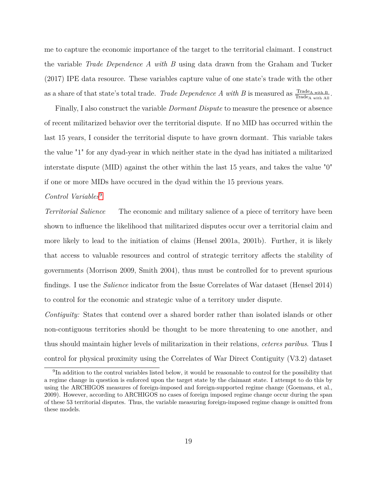me to capture the economic importance of the target to the territorial claimant. I construct the variable *Trade Dependence A with B* using data drawn from the Graham and Tucker (2017) IPE data resource. These variables capture value of one state's trade with the other as a share of that state's total trade. *Trade Dependence A with B* is measured as  $\frac{\text{Trade}_{A \text{ with } B}}{\text{Trade}_{A \text{ with All}}}$ .

Finally, I also construct the variable *Dormant Dispute* to measure the presence or absence of recent militarized behavior over the territorial dispute. If no MID has occurred within the last 15 years, I consider the territorial dispute to have grown dormant. This variable takes the value "1" for any dyad-year in which neither state in the dyad has initiated a militarized interstate dispute (MID) against the other within the last 15 years, and takes the value "0" if one or more MIDs have occured in the dyad within the 15 previous years.

#### *Control Variables*[9](#page-19-0)

*Territorial Salience* The economic and military salience of a piece of territory have been shown to influence the likelihood that militarized disputes occur over a territorial claim and more likely to lead to the initiation of claims (Hensel 2001a, 2001b). Further, it is likely that access to valuable resources and control of strategic territory affects the stability of governments (Morrison 2009, Smith 2004), thus must be controlled for to prevent spurious findings. I use the *Salience* indicator from the Issue Correlates of War dataset (Hensel 2014) to control for the economic and strategic value of a territory under dispute.

*Contiguity:* States that contend over a shared border rather than isolated islands or other non-contiguous territories should be thought to be more threatening to one another, and thus should maintain higher levels of militarization in their relations, *ceteres paribus*. Thus I control for physical proximity using the Correlates of War Direct Contiguity (V3.2) dataset

<span id="page-19-0"></span><sup>&</sup>lt;sup>9</sup>In addition to the control variables listed below, it would be reasonable to control for the possibility that a regime change in question is enforced upon the target state by the claimant state. I attempt to do this by using the ARCHIGOS measures of foreign-imposed and foreign-supported regime change (Goemans, et al., 2009). However, according to ARCHIGOS no cases of foreign imposed regime change occur during the span of these 53 territorial disputes. Thus, the variable measuring foreign-imposed regime change is omitted from these models.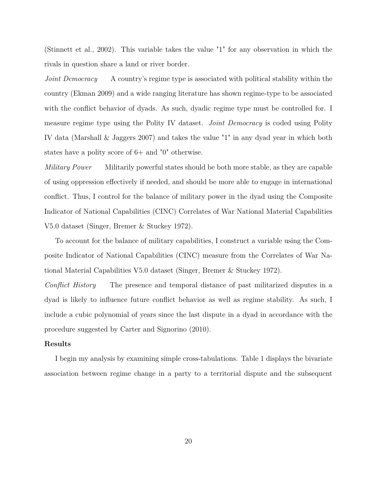(Stinnett et al., 2002). This variable takes the value "1" for any observation in which the rivals in question share a land or river border.

*Joint Democracy* A country's regime type is associated with political stability within the country (Ekman 2009) and a wide ranging literature has shown regime-type to be associated with the conflict behavior of dyads. As such, dyadic regime type must be controlled for. I measure regime type using the Polity IV dataset. *Joint Democracy* is coded using Polity IV data (Marshall & Jaggers 2007) and takes the value "1" in any dyad year in which both states have a polity score of 6+ and "0" otherwise.

*Military Power* Militarily powerful states should be both more stable, as they are capable of using oppression effectively if needed, and should be more able to engage in international conflict. Thus, I control for the balance of military power in the dyad using the Composite Indicator of National Capabilities (CINC) Correlates of War National Material Capabilities V5.0 dataset (Singer, Bremer & Stuckey 1972).

To account for the balance of military capabilities, I construct a variable using the Composite Indicator of National Capabilities (CINC) measure from the Correlates of War National Material Capabilities V5.0 dataset (Singer, Bremer & Stuckey 1972).

*Conflict History* The presence and temporal distance of past militarized disputes in a dyad is likely to influence future conflict behavior as well as regime stability. As such, I include a cubic polynomial of years since the last dispute in a dyad in accordance with the procedure suggested by Carter and Signorino (2010).

#### **Results**

I begin my analysis by examining simple cross-tabulations. Table 1 displays the bivariate association between regime change in a party to a territorial dispute and the subsequent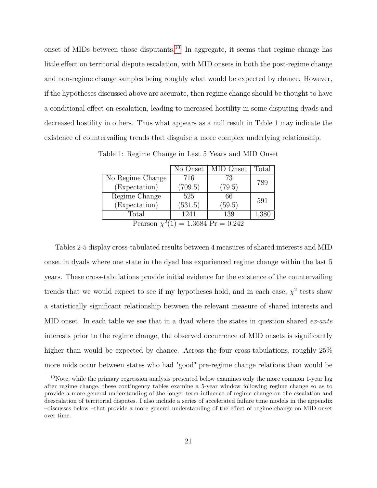onset of MIDs between those disputants.<sup>[10](#page-21-0)</sup> In aggregate, it seems that regime change has little effect on territorial dispute escalation, with MID onsets in both the post-regime change and non-regime change samples being roughly what would be expected by chance. However, if the hypotheses discussed above are accurate, then regime change should be thought to have a conditional effect on escalation, leading to increased hostility in some disputing dyads and decreased hostility in others. Thus what appears as a null result in Table 1 may indicate the existence of countervailing trends that disguise a more complex underlying relationship.

|                                         | No Onset | MID Onset | Total |  |  |  |
|-----------------------------------------|----------|-----------|-------|--|--|--|
| No Regime Change                        | 716      | 73        | 789   |  |  |  |
| (Expectation)                           | (709.5)  | (79.5)    |       |  |  |  |
| Regime Change                           | 525      | 66        | 591   |  |  |  |
| (Expectation)                           | (531.5)  | (59.5)    |       |  |  |  |
| Total                                   | 1241     | 139       | 1,380 |  |  |  |
| Pearson $\chi^2(1) = 1.3684$ Pr = 0.242 |          |           |       |  |  |  |

Table 1: Regime Change in Last 5 Years and MID Onset

Tables 2-5 display cross-tabulated results between 4 measures of shared interests and MID onset in dyads where one state in the dyad has experienced regime change within the last 5 years. These cross-tabulations provide initial evidence for the existence of the countervailing trends that we would expect to see if my hypotheses hold, and in each case,  $\chi^2$  tests show a statistically significant relationship between the relevant measure of shared interests and MID onset. In each table we see that in a dyad where the states in question shared *ex-ante* interests prior to the regime change, the observed occurrence of MID onsets is significantly higher than would be expected by chance. Across the four cross-tabulations, roughly  $25\%$ more mids occur between states who had "good" pre-regime change relations than would be

<span id="page-21-0"></span><sup>10</sup>Note, while the primary regression analysis presented below examines only the more common 1-year lag after regime change, these contingency tables examine a 5-year window following regime change so as to provide a more general understanding of the longer term influence of regime change on the escalation and deescalation of territorial disputes. I also include a series of accelerated failure time models in the appendix –discusses below –that provide a more general understanding of the effect of regime change on MID onset over time.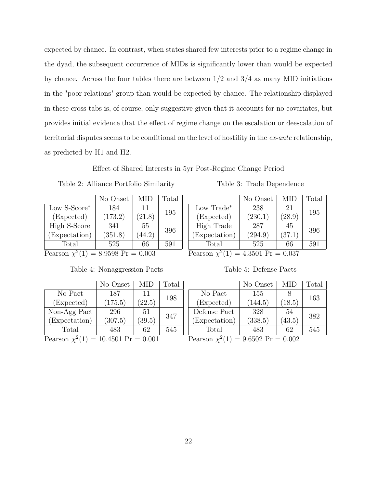expected by chance. In contrast, when states shared few interests prior to a regime change in the dyad, the subsequent occurrence of MIDs is significantly lower than would be expected by chance. Across the four tables there are between  $1/2$  and  $3/4$  as many MID initiations in the "poor relations" group than would be expected by chance. The relationship displayed in these cross-tabs is, of course, only suggestive given that it accounts for no covariates, but provides initial evidence that the effect of regime change on the escalation or deescalation of territorial disputes seems to be conditional on the level of hostility in the *ex-ante* relationship, as predicted by H1 and H2.

Effect of Shared Interests in 5yr Post-Regime Change Period

Table 2: Alliance Portfolio Similarity

|                       | No Onset | MID    | Total |  |  |  |  |
|-----------------------|----------|--------|-------|--|--|--|--|
| Low S-Score*          | 184      | 11     | 195   |  |  |  |  |
| (Expected)            | (173.2)  | (21.8) |       |  |  |  |  |
| High S-Score          | 341      | 55     | 396   |  |  |  |  |
| (Expectation)         | (351.8)  | (44.2) |       |  |  |  |  |
| Total                 | 525      | 66     | 591   |  |  |  |  |
| Doorgan $\frac{2}{3}$ |          |        |       |  |  |  |  |

Pearson  $\chi^2(1) = 8.9598 \text{ Pr} = 0.003$  Pearson  $\chi^2(1) = 4.3501 \text{ Pr} = 0.037$ 

|                                          | No Onset | MID    | Total |  |  |  |
|------------------------------------------|----------|--------|-------|--|--|--|
| No Pact                                  | 187      | 11     | 198   |  |  |  |
| (Expected)                               | (175.5)  | (22.5) |       |  |  |  |
| Non-Agg Pact                             | 296      | 51     | 347   |  |  |  |
| (Expectation)                            | (307.5)  | (39.5) |       |  |  |  |
| Total                                    | 483      | 62     | 545   |  |  |  |
| Pearson $\chi^2(1) = 10.4501$ Pr = 0.001 |          |        |       |  |  |  |

Table 4: Nonaggression Pacts

Table 3: Trade Dependence

|                       | No Onset | MID    | Total |  |  |  |  |
|-----------------------|----------|--------|-------|--|--|--|--|
| Low Trade*            | 238      | 21     | 195   |  |  |  |  |
| (Expected)            | (230.1)  | (28.9) |       |  |  |  |  |
| High Trade            | 287      | 45     | 396   |  |  |  |  |
| (Expectation)         | (294.9)  | (37.1) |       |  |  |  |  |
| Total                 | 525      | 66     | 591   |  |  |  |  |
| Doorgan $2^4$<br>2501 |          |        |       |  |  |  |  |

|  | Table 5: Defense Pacts |  |
|--|------------------------|--|

|                                         | No Onset | <b>MID</b> | Total |  |  |  |
|-----------------------------------------|----------|------------|-------|--|--|--|
| No Pact                                 | 155      |            |       |  |  |  |
| (Expected)                              | (144.5)  | (18.5)     | 163   |  |  |  |
| Defense Pact                            | 328      | 54         | 382   |  |  |  |
| (Expectation)                           | (338.5)  | (43.5)     |       |  |  |  |
| Total                                   | 483      | 62         | 545   |  |  |  |
| Pearson $\chi^2(1) = 9.6502$ Pr = 0.002 |          |            |       |  |  |  |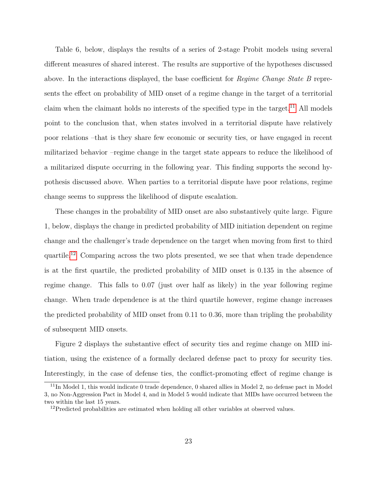Table 6, below, displays the results of a series of 2-stage Probit models using several different measures of shared interest. The results are supportive of the hypotheses discussed above. In the interactions displayed, the base coefficient for *Regime Change State B* represents the effect on probability of MID onset of a regime change in the target of a territorial claim when the claimant holds no interests of the specified type in the target.<sup>[11](#page-23-0)</sup> All models point to the conclusion that, when states involved in a territorial dispute have relatively poor relations –that is they share few economic or security ties, or have engaged in recent militarized behavior –regime change in the target state appears to reduce the likelihood of a militarized dispute occurring in the following year. This finding supports the second hypothesis discussed above. When parties to a territorial dispute have poor relations, regime change seems to suppress the likelihood of dispute escalation.

These changes in the probability of MID onset are also substantively quite large. Figure 1, below, displays the change in predicted probability of MID initiation dependent on regime change and the challenger's trade dependence on the target when moving from first to third quartile.[12](#page-23-1) Comparing across the two plots presented, we see that when trade dependence is at the first quartile, the predicted probability of MID onset is 0.135 in the absence of regime change. This falls to 0.07 (just over half as likely) in the year following regime change. When trade dependence is at the third quartile however, regime change increases the predicted probability of MID onset from 0.11 to 0.36, more than tripling the probability of subsequent MID onsets.

Figure 2 displays the substantive effect of security ties and regime change on MID initiation, using the existence of a formally declared defense pact to proxy for security ties. Interestingly, in the case of defense ties, the conflict-promoting effect of regime change is

<span id="page-23-0"></span> $11$ In Model 1, this would indicate 0 trade dependence, 0 shared allies in Model 2, no defense pact in Model 3, no Non-Aggression Pact in Model 4, and in Model 5 would indicate that MIDs have occurred between the two within the last 15 years.

<span id="page-23-1"></span> $^{12}\mathrm{Predicted}$  probabilities are estimated when holding all other variables at observed values.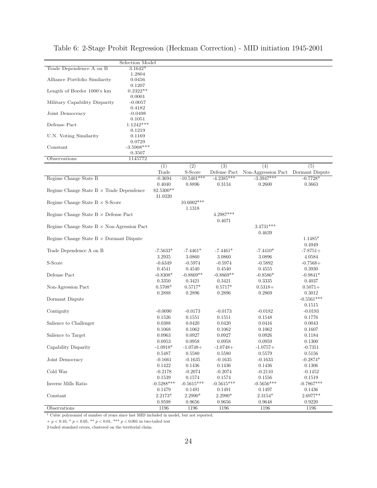|                                                   | Selection Model        |              |               |              |                                     |              |
|---------------------------------------------------|------------------------|--------------|---------------|--------------|-------------------------------------|--------------|
| Trade Dependence A on B                           | $3.1642*$              |              |               |              |                                     |              |
|                                                   | 1.2804                 |              |               |              |                                     |              |
| Alliance Portfolio Similarity                     | 0.0456                 |              |               |              |                                     |              |
|                                                   | 0.1207                 |              |               |              |                                     |              |
| Length of Border 1000's km                        | $0.2322**$             |              |               |              |                                     |              |
|                                                   | 0.0001                 |              |               |              |                                     |              |
| Military Capability Disparity                     | $-0.0057$              |              |               |              |                                     |              |
|                                                   | 0.4182                 |              |               |              |                                     |              |
| Joint Democracy                                   | $-0.0498$              |              |               |              |                                     |              |
|                                                   | 0.1051                 |              |               |              |                                     |              |
| Defense Pact                                      | $1.1242***$            |              |               |              |                                     |              |
|                                                   | 0.1219                 |              |               |              |                                     |              |
| U.N. Voting Similarity                            | 0.1169                 |              |               |              |                                     |              |
| Constant                                          | 0.0729<br>$-3.5908***$ |              |               |              |                                     |              |
|                                                   | 0.3507                 |              |               |              |                                     |              |
| Observations                                      | 1145772                |              |               |              |                                     |              |
|                                                   |                        |              |               |              |                                     |              |
|                                                   |                        | (1)          | (2)           | (3)          | (4)                                 | (5)          |
|                                                   |                        | Trade        | S-Score       | Defense Pact | Non-Aggression Pact Dormant Dispute |              |
| Regime Change State B                             |                        | $-0.3694$    | $-10.5401***$ | $-4.2385***$ | $-3.3947***$                        | $-0.7728*$   |
|                                                   |                        | 0.4040       | 0.8896        | 0.3134       | 0.2600                              | 0.3663       |
| Regime Change State $B \times$ Trade Dependence   |                        | 82.5300**    |               |              |                                     |              |
|                                                   |                        | 31.0320      |               |              |                                     |              |
| Regime Change State $B \times S$ -Score           |                        |              | 10.6002***    |              |                                     |              |
|                                                   |                        |              | 1.1318        |              |                                     |              |
| Regime Change State $B \times$ Defense Pact       |                        |              |               | 4.2987***    |                                     |              |
|                                                   |                        |              |               | 0.4671       |                                     |              |
| Regime Change State $B \times$ Non-Agression Pact |                        |              |               |              | $3.4731***$                         |              |
|                                                   |                        |              |               |              | 0.4639                              |              |
| Regime Change State $B \times$ Dormant Dispute    |                        |              |               |              |                                     | $1.1485*$    |
|                                                   |                        |              |               |              |                                     | 0.4949       |
| Trade Dependence A on B                           |                        | $-7.5633*$   | $-7.4461*$    | $-7.4461*$   | $-7.4410*$                          | $-7.8751+$   |
|                                                   |                        | 3.2935       | 3.0860        | 3.0860       | 3.0896                              | 4.0584       |
| S-Score                                           |                        | $-0.6349$    | $-0.5974$     | $-0.5974$    | $-0.5892$                           | $-0.7568+$   |
|                                                   |                        | 0.4541       | 0.4540        | 0.4540       | 0.4555                              | 0.3930       |
| Defense Pact                                      |                        | $-0.8308*$   | $-0.8869**$   | $-0.8869**$  | $-0.8586*$                          | $-0.9841*$   |
|                                                   |                        | 0.3350       | 0.3421        | 0.3421       | 0.3335                              | 0.4037       |
| Non-Agression Pact                                |                        | $0.5708*$    | $0.5717*$     | $0.5717*$    | $0.5318+$                           | $0.5071+$    |
|                                                   |                        | 0.2888       | 0.2896        | 0.2896       | 0.2869                              | 0.3012       |
| Dormant Dispute                                   |                        |              |               |              |                                     | $-0.5561***$ |
|                                                   |                        |              |               |              |                                     | 0.1515       |
| Contiguity                                        |                        | $-0.0090$    | $-0.0173$     | $-0.0173$    | $-0.0182$                           | $-0.0193$    |
|                                                   |                        | 0.1526       | 0.1551        | 0.1551       | 0.1548                              | 0.1776       |
| Salience to Challenger                            |                        | 0.0388       | 0.0420        | 0.0420       | 0.0416                              | 0.0043       |
|                                                   |                        | 0.1068       | 0.1062        | 0.1062       | 0.1062                              | 0.1607       |
| Salience to Target                                |                        | 0.0963       | 0.0927        | 0.0927       | 0.0926                              | 0.1184       |
|                                                   |                        | 0.0953       | 0.0958        | 0.0958       | 0.0959                              | 0.1300       |
| Capability Disparity                              |                        | $-1.0918*$   | $-1.0748+$    | $-1.0748+$   | $-1.0757+$                          | $-0.7351$    |
|                                                   |                        | 0.5487       | 0.5580        | 0.5580       | 0.5579                              | 0.5156       |
| Joint Democracy                                   |                        | $-0.1661$    | $-0.1635$     | $-0.1635$    | $-0.1633$                           | $-0.2874*$   |
|                                                   |                        | 0.1422       | 0.1436        | 0.1436       | 0.1436                              | 0.1306       |
| Cold War                                          |                        | $-0.2178$    | $-0.2074$     | $-0.2074$    | $-0.2110$                           | $-0.1452$    |
|                                                   |                        | 0.1539       | 0.1574        | 0.1574       | 0.1556                              | 0.1519       |
| Inverse Mills Ratio                               |                        | $-0.5288***$ | $-0.5615***$  | $-0.5615***$ | $-0.5656***$                        | $-0.7867***$ |
|                                                   |                        | 0.1479       | 0.1491        | 0.1491       | 0.1497                              | 0.1436       |
| Constant                                          |                        | 2.2173*      | 2.2990*       | $2.2990*$    | $2.3154*$                           | 2.6977**     |
|                                                   |                        | 0.9598       | 0.9656        | 0.9656       | 0.9648                              | 0.9220       |
| Observations                                      |                        | 1196         | 1196          | 1196         | 1196                                | 1196         |
|                                                   |                        |              |               |              |                                     |              |

Table 6: 2-Stage Probit Regression (Heckman Correction) - MID initiation 1945-2001

 $\overline{1}$  Cubic polynomial of number of years since last MID included in model, but not reported.

 $+$   $p$   $<$  0.10,  $^{*}$   $p$   $<$  0.05,  $^{**}$   $p$   $<$  0.01,  $^{***}$   $p$   $<$  0.001 in two-tailed test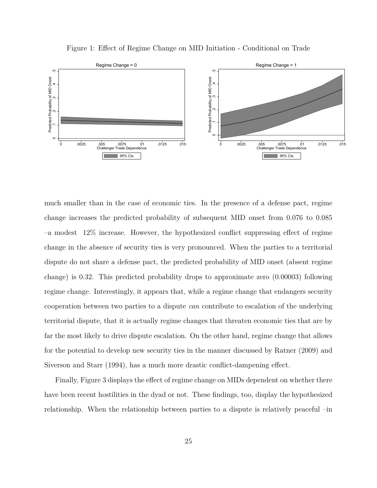Figure 1: Effect of Regime Change on MID Initiation - Conditional on Trade



much smaller than in the case of economic ties. In the presence of a defense pact, regime change increases the predicted probability of subsequent MID onset from 0.076 to 0.085 –a modest 12% increase. However, the hypothesized conflict suppressing effect of regime change in the absence of security ties is very pronounced. When the parties to a territorial dispute do not share a defense pact, the predicted probability of MID onset (absent regime change) is 0.32. This predicted probability drops to approximate zero (0.00003) following regime change. Interestingly, it appears that, while a regime change that endangers security cooperation between two parties to a dispute *can* contribute to escalation of the underlying territorial dispute, that it is actually regime changes that threaten economic ties that are by far the most likely to drive dispute escalation. On the other hand, regime change that allows for the potential to develop new security ties in the manner discussed by Ratner (2009) and Siverson and Starr (1994), has a much more drastic conflict-dampening effect.

Finally, Figure 3 displays the effect of regime change on MIDs dependent on whether there have been recent hostilities in the dyad or not. These findings, too, display the hypothesized relationship. When the relationship between parties to a dispute is relatively peaceful –in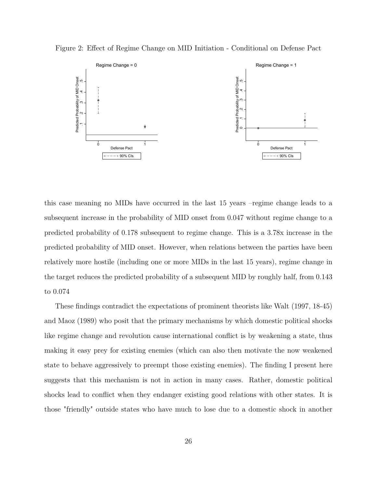Figure 2: Effect of Regime Change on MID Initiation - Conditional on Defense Pact



this case meaning no MIDs have occurred in the last 15 years –regime change leads to a subsequent increase in the probability of MID onset from 0.047 without regime change to a predicted probability of 0.178 subsequent to regime change. This is a 3.78x increase in the predicted probability of MID onset. However, when relations between the parties have been relatively more hostile (including one or more MIDs in the last 15 years), regime change in the target reduces the predicted probability of a subsequent MID by roughly half, from 0.143 to 0.074

These findings contradict the expectations of prominent theorists like Walt (1997, 18-45) and Maoz (1989) who posit that the primary mechanisms by which domestic political shocks like regime change and revolution cause international conflict is by weakening a state, thus making it easy prey for existing enemies (which can also then motivate the now weakened state to behave aggressively to preempt those existing enemies). The finding I present here suggests that this mechanism is not in action in many cases. Rather, domestic political shocks lead to conflict when they endanger existing good relations with other states. It is those "friendly" outside states who have much to lose due to a domestic shock in another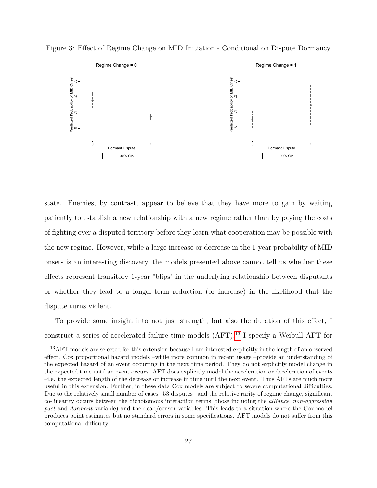

Figure 3: Effect of Regime Change on MID Initiation - Conditional on Dispute Dormancy

state. Enemies, by contrast, appear to believe that they have more to gain by waiting patiently to establish a new relationship with a new regime rather than by paying the costs of fighting over a disputed territory before they learn what cooperation may be possible with the new regime. However, while a large increase or decrease in the 1-year probability of MID onsets is an interesting discovery, the models presented above cannot tell us whether these effects represent transitory 1-year "blips" in the underlying relationship between disputants or whether they lead to a longer-term reduction (or increase) in the likelihood that the dispute turns violent.

To provide some insight into not just strength, but also the duration of this effect, I construct a series of accelerated failure time models (AFT).[13](#page-27-0) I specify a Weibull AFT for

<span id="page-27-0"></span><sup>13</sup>AFT models are selected for this extension because I am interested explicitly in the length of an observed effect. Cox proportional hazard models –while more common in recent usage –provide an understanding of the expected hazard of an event occurring in the next time period. They do not explicitly model change in the expected time until an event occurs. AFT does explicitly model the acceleration or deceleration of events –i.e. the expected length of the decrease or increase in time until the next event. Thus AFTs are much more useful in this extension. Further, in these data Cox models are subject to severe computational difficulties. Due to the relatively small number of cases –53 disputes –and the relative rarity of regime change, significant co-linearity occurs between the dichotomous interaction terms (those including the *alliance*, *non-aggression pact* and *dormant* variable) and the dead/censor variables. This leads to a situation where the Cox model produces point estimates but no standard errors in some specifications. AFT models do not suffer from this computational difficulty.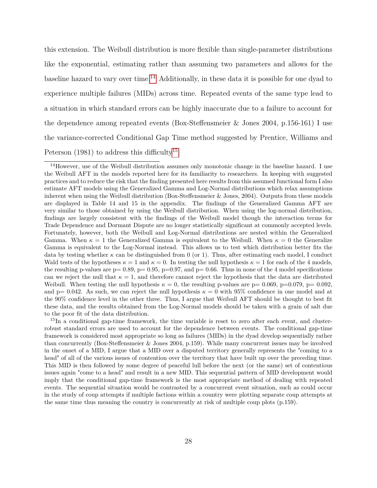this extension. The Weibull distribution is more flexible than single-parameter distributions like the exponential, estimating rather than assuming two parameters and allows for the baseline hazard to vary over time.[14](#page-28-0) Additionally, in these data it is possible for one dyad to experience multiple failures (MIDs) across time. Repeated events of the same type lead to a situation in which standard errors can be highly inaccurate due to a failure to account for the dependence among repeated events (Box-Steffensmeier & Jones 2004, p.156-161) I use the variance-corrected Conditional Gap Time method suggested by Prentice, Williams and Peterson  $(1981)$  to address this difficulty<sup>[15](#page-28-1)</sup>.

<span id="page-28-1"></span><sup>15</sup>In a conditional gap-time framework, the time variable is reset to zero after each event, and clusterrobust standard errors are used to account for the dependence between events. The conditional gap-time framework is considered most appropriate so long as failures (MIDs) in the dyad develop sequentially rather than concurrently (Box-Steffensmeier & Jones 2004, p.159). While many concurrent issues may be involved in the onset of a MID, I argue that a MID over a disputed territory generally represents the "coming to a head" of all of the various issues of contention over the territory that have built up over the preceding time. This MID is then followed by some degree of peaceful lull before the next (or the same) set of contentious issues again "come to a head" and result in a new MID. This sequential pattern of MID development would imply that the conditional gap-time framework is the most appropriate method of dealing with repeated events. The sequential situation would be contrasted by a concurrent event situation, such as could occur in the study of coup attempts if multiple factions within a country were plotting separate coup attempts at the same time thus meaning the country is concurrently at risk of multiple coup plots (p.159).

<span id="page-28-0"></span><sup>&</sup>lt;sup>14</sup>However, use of the Weibull distribution assumes only monotonic change in the baseline hazard. I use the Weibull AFT in the models reported here for its familiarity to researchers. In keeping with suggested practices and to reduce the risk that the finding presented here results from this assumed functional form I also estimate AFT models using the Generalized Gamma and Log-Normal distributions which relax assumptions inherent when using the Weibull distribution (Box-Steffensmeier & Jones, 2004). Outputs from these models are displayed in Table 14 and 15 in the appendix. The findings of the Generalized Gamma AFT are very similar to those obtained by using the Weibull distribution. When using the log-normal distribution, findings are largely consistent with the findings of the Weibull model though the interaction terms for Trade Dependence and Dormant Dispute are no longer statistically significant at commonly accepted levels. Fortunately, however, both the Weibull and Log-Normal distributions are nested within the Generalized Gamma. When  $\kappa = 1$  the Generalized Gamma is equivalent to the Weibull. When  $\kappa = 0$  the Generalize Gamma is equivalent to the Log-Normal instead. This allows us to test which distribution better fits the data by testing whether  $\kappa$  can be distinguished from 0 (or 1). Thus, after estimating each model, I conduct Wald tests of the hypotheses  $\kappa = 1$  and  $\kappa = 0$ . In testing the null hypothesis  $\kappa = 1$  for each of the 4 models, the resulting p-values are  $p= 0.89$ ,  $p= 0.95$ ,  $p=0.97$ , and  $p= 0.66$ . Thus in none of the 4 model specifications can we reject the null that  $\kappa = 1$ , and therefore cannot reject the hypothesis that the data are distributed Weibull. When testing the null hypothesis  $\kappa = 0$ , the resulting p-values are p= 0.069, p=0.079, p= 0.092, and  $p= 0.042$ . As such, we can reject the null hypothesis  $\kappa = 0$  with 95% confidence in one model and at the 90% confidence level in the other three. Thus, I argue that Weibull AFT should be thought to best fit these data, and the results obtained from the Log-Normal models should be taken with a grain of salt due to the poor fit of the data distribution.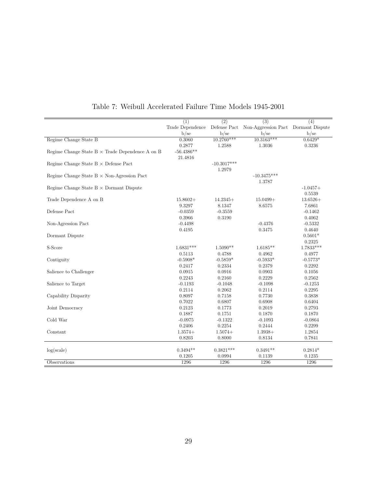|                                                        | $\overline{(1)}$ | $\overline{(2)}$ | $\overline{(3)}$                    | $\overline{(4)}$ |
|--------------------------------------------------------|------------------|------------------|-------------------------------------|------------------|
|                                                        | Trade Dependence | Defense Pact     | Non-Aggression Pact Dormant Dispute |                  |
|                                                        | $b$ /se          | b/sec            | b/se                                | b/se             |
| Regime Change State B                                  | 0.3060           | $10.2760***$     | $10.3163***$                        | $0.6429*$        |
|                                                        | 0.2877           | 1.2588           | 1.3036                              | 0.3236           |
| Regime Change State $B \times$ Trade Dependence A on B | $-56.4386**$     |                  |                                     |                  |
|                                                        | 21.4816          |                  |                                     |                  |
| Regime Change State $B \times$ Defense Pact            |                  | $-10.3017***$    |                                     |                  |
|                                                        |                  | 1.2979           |                                     |                  |
| Regime Change State $B \times$ Non-Agression Pact      |                  |                  | $-10.3475***$                       |                  |
|                                                        |                  |                  | 1.3787                              |                  |
| Regime Change State $B \times$ Dormant Dispute         |                  |                  |                                     | $-1.0457+$       |
|                                                        |                  |                  |                                     | 0.5539           |
| Trade Dependence A on B                                | $15.8602+$       | $14.2345+$       | $15.0499+$                          | $13.6526+$       |
|                                                        | 9.3297           | 8.1347           | 8.6575                              | 7.6861           |
| Defense Pact                                           | $-0.0359$        | $-0.3559$        |                                     | $-0.1462$        |
|                                                        | 0.3966           | 0.3190           |                                     | 0.4062           |
| Non-Agression Pact                                     | $-0.4498$        |                  | $-0.4376$                           | $-0.5332$        |
|                                                        | 0.4195           |                  | 0.3475                              | 0.4640           |
| Dormant Dispute                                        |                  |                  |                                     | $0.5601*$        |
|                                                        |                  |                  |                                     | 0.2325           |
| S-Score                                                | $1.6831***$      | $1.5090**$       | $1.6185**$                          | $1.7833***$      |
|                                                        | 0.5113           | 0.4788           | 0.4962                              | 0.4977           |
| Contiguity                                             | $-0.5908*$       | $-0.5859*$       | $-0.5933*$                          | $-0.5773*$       |
|                                                        | 0.2417           | 0.2334           | 0.2379                              | 0.2292           |
| Salience to Challenger                                 | 0.0915           | 0.0916           | 0.0903                              | 0.1056           |
|                                                        | 0.2243           | 0.2160           | 0.2229                              | 0.2562           |
| Salience to Target                                     | $-0.1193$        | $-0.1048$        | $-0.1098$                           | $-0.1253$        |
|                                                        | 0.2114           | 0.2062           | 0.2114                              | 0.2295           |
| Capability Disparity                                   | 0.8097           | 0.7158           | 0.7730                              | 0.3838           |
|                                                        | 0.7022           | 0.6807           | 0.6908                              | 0.6404           |
| Joint Democracy                                        | 0.2123           | 0.1773           | 0.2019                              | 0.2793           |
|                                                        | 0.1887           | 0.1751           | 0.1870                              | 0.1870           |
| Cold War                                               | $-0.0975$        | $-0.1322$        | $-0.1093$                           | $-0.0864$        |
|                                                        | 0.2406           | 0.2254           | 0.2444                              | 0.2299           |
| Constant                                               | $1.3574+$        | $1.5074+$        | $1.3938+$                           | 1.2854           |
|                                                        | 0.8203           | 0.8000           | 0.8134                              | 0.7841           |
|                                                        |                  |                  |                                     |                  |
| log(scale)                                             | $0.3494**$       | $0.3821***$      | $0.3491**$                          | $0.2814*$        |
|                                                        | 0.1205           | 0.0994           | 0.1139                              | 0.1235           |
| Observations                                           | 1296             | 1296             | 1296                                | 1296             |

Table 7: Weibull Accelerated Failure Time Models 1945-2001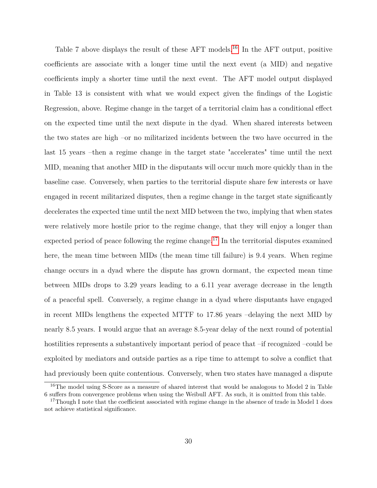Table 7 above displays the result of these AFT models.<sup>[16](#page-30-0)</sup> In the AFT output, positive coefficients are associate with a longer time until the next event (a MID) and negative coefficients imply a shorter time until the next event. The AFT model output displayed in Table 13 is consistent with what we would expect given the findings of the Logistic Regression, above. Regime change in the target of a territorial claim has a conditional effect on the expected time until the next dispute in the dyad. When shared interests between the two states are high –or no militarized incidents between the two have occurred in the last 15 years –then a regime change in the target state "accelerates" time until the next MID, meaning that another MID in the disputants will occur much more quickly than in the baseline case. Conversely, when parties to the territorial dispute share few interests or have engaged in recent militarized disputes, then a regime change in the target state significantly decelerates the expected time until the next MID between the two, implying that when states were relatively more hostile prior to the regime change, that they will enjoy a longer than expected period of peace following the regime change.<sup>[17](#page-30-1)</sup> In the territorial disputes examined here, the mean time between MIDs (the mean time till failure) is 9.4 years. When regime change occurs in a dyad where the dispute has grown dormant, the expected mean time between MIDs drops to 3.29 years leading to a 6.11 year average decrease in the length of a peaceful spell. Conversely, a regime change in a dyad where disputants have engaged in recent MIDs lengthens the expected MTTF to 17.86 years –delaying the next MID by nearly 8.5 years. I would argue that an average 8.5-year delay of the next round of potential hostilities represents a substantively important period of peace that –if recognized –could be exploited by mediators and outside parties as a ripe time to attempt to solve a conflict that had previously been quite contentious. Conversely, when two states have managed a dispute

<span id="page-30-0"></span><sup>&</sup>lt;sup>16</sup>The model using S-Score as a measure of shared interest that would be analogous to Model 2 in Table 6 suffers from convergence problems when using the Weibull AFT. As such, it is omitted from this table.

<span id="page-30-1"></span><sup>&</sup>lt;sup>17</sup>Though I note that the coefficient associated with regime change in the absence of trade in Model 1 does not achieve statistical significance.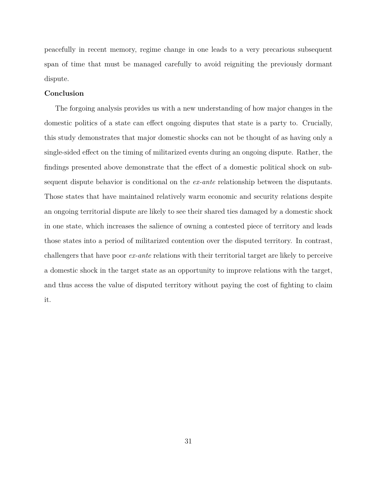peacefully in recent memory, regime change in one leads to a very precarious subsequent span of time that must be managed carefully to avoid reigniting the previously dormant dispute.

#### **Conclusion**

The forgoing analysis provides us with a new understanding of how major changes in the domestic politics of a state can effect ongoing disputes that state is a party to. Crucially, this study demonstrates that major domestic shocks can not be thought of as having only a single-sided effect on the timing of militarized events during an ongoing dispute. Rather, the findings presented above demonstrate that the effect of a domestic political shock on subsequent dispute behavior is conditional on the *ex-ante* relationship between the disputants. Those states that have maintained relatively warm economic and security relations despite an ongoing territorial dispute are likely to see their shared ties damaged by a domestic shock in one state, which increases the salience of owning a contested piece of territory and leads those states into a period of militarized contention over the disputed territory. In contrast, challengers that have poor *ex-ante* relations with their territorial target are likely to perceive a domestic shock in the target state as an opportunity to improve relations with the target, and thus access the value of disputed territory without paying the cost of fighting to claim it.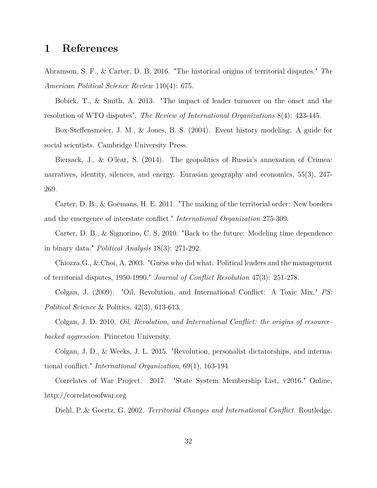## **1 References**

Abramson, S. F., & Carter, D. B. 2016. "The historical origins of territorial disputes." *The American Political Science Review* 110(4): 675.

Bobick, T., & Smith, A. 2013. "The impact of leader turnover on the onset and the resolution of WTO disputes". *The Review of International Organizations* 8(4): 423-445.

Box-Steffensmeier, J. M., & Jones, B. S. (2004). Event history modeling: A guide for social scientists. Cambridge University Press.

Biersack, J., & O'lear, S. (2014). The geopolitics of Russia's annexation of Crimea: narratives, identity, silences, and energy. Eurasian geography and economics, 55(3), 247- 269.

Carter, D. B., & Goemans, H. E. 2011. "The making of the territorial order: New borders and the emergence of interstate conflict." *International Organization* 275-309.

Carter, D. B., & Signorino, C. S. 2010. "Back to the future: Modeling time dependence in binary data." *Political Analysis* 18(3): 271-292.

Chiozza,G., & Choi, A. 2003. "Guess who did what: Political leaders and the management of territorial disputes, 1950-1990." *Journal of Conflict Resolution* 47(3): 251-278.

Colgan, J. (2009). "Oil, Revolution, and International Conflict: A Toxic Mix." *PS: Political Science* & Politics, 42(3), 613-613.

Colgan, J. D. 2010. *Oil, Revolution, and International Conflict: the origins of resourcebacked aggression*. Princeton University.

Colgan, J. D., & Weeks, J. L. 2015. "Revolution, personalist dictatorships, and international conflict." *International Organization*, 69(1), 163-194.

Correlates of War Project. 2017. "State System Membership List, v2016." Online, http://correlatesofwar.org

Diehl, P.,& Goertz, G. 2002. *Territorial Changes and International Conflict*. Routledge.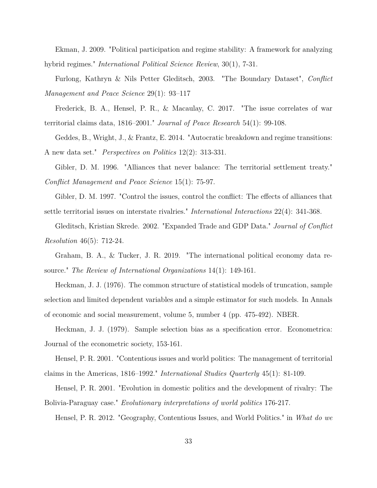Ekman, J. 2009. "Political participation and regime stability: A framework for analyzing hybrid regimes." *International Political Science Review*, 30(1), 7-31.

Furlong, Kathryn & Nils Petter Gleditsch, 2003. "The Boundary Dataset", *Conflict Management and Peace Science* 29(1): 93–117

Frederick, B. A., Hensel, P. R., & Macaulay, C. 2017. "The issue correlates of war territorial claims data, 1816–2001." *Journal of Peace Research* 54(1): 99-108.

Geddes, B., Wright, J., & Frantz, E. 2014. "Autocratic breakdown and regime transitions: A new data set." *Perspectives on Politics* 12(2): 313-331.

Gibler, D. M. 1996. "Alliances that never balance: The territorial settlement treaty." *Conflict Management and Peace Science* 15(1): 75-97.

Gibler, D. M. 1997. "Control the issues, control the conflict: The effects of alliances that settle territorial issues on interstate rivalries." *International Interactions* 22(4): 341-368.

Gleditsch, Kristian Skrede. 2002. "Expanded Trade and GDP Data." *Journal of Conflict Resolution* 46(5): 712-24.

Graham, B. A., & Tucker, J. R. 2019. "The international political economy data resource." *The Review of International Organizations* 14(1): 149-161.

Heckman, J. J. (1976). The common structure of statistical models of truncation, sample selection and limited dependent variables and a simple estimator for such models. In Annals of economic and social measurement, volume 5, number 4 (pp. 475-492). NBER.

Heckman, J. J. (1979). Sample selection bias as a specification error. Econometrica: Journal of the econometric society, 153-161.

Hensel, P. R. 2001. "Contentious issues and world politics: The management of territorial claims in the Americas, 1816–1992." *International Studies Quarterly* 45(1): 81-109.

Hensel, P. R. 2001. "Evolution in domestic politics and the development of rivalry: The Bolivia-Paraguay case." *Evolutionary interpretations of world politics* 176-217.

Hensel, P. R. 2012. "Geography, Contentious Issues, and World Politics." in *What do we*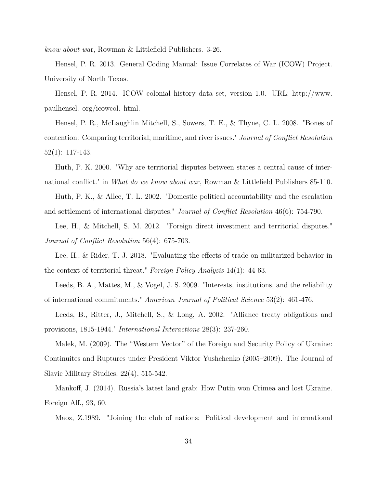*know about wa*r, Rowman & Littlefield Publishers. 3-26.

Hensel, P. R. 2013. General Coding Manual: Issue Correlates of War (ICOW) Project. University of North Texas.

Hensel, P. R. 2014. ICOW colonial history data set, version 1.0. URL: http://www. paulhensel. org/icowcol. html.

Hensel, P. R., McLaughlin Mitchell, S., Sowers, T. E., & Thyne, C. L. 2008. "Bones of contention: Comparing territorial, maritime, and river issues." *Journal of Conflict Resolution* 52(1): 117-143.

Huth, P. K. 2000. "Why are territorial disputes between states a central cause of international conflict." in *What do we know about wa*r, Rowman & Littlefield Publishers 85-110.

Huth, P. K., & Allee, T. L. 2002. "Domestic political accountability and the escalation and settlement of international disputes." *Journal of Conflict Resolution* 46(6): 754-790.

Lee, H., & Mitchell, S. M. 2012. "Foreign direct investment and territorial disputes." *Journal of Conflict Resolution* 56(4): 675-703.

Lee, H., & Rider, T. J. 2018. "Evaluating the effects of trade on militarized behavior in the context of territorial threat." *Foreign Policy Analysis* 14(1): 44-63.

Leeds, B. A., Mattes, M., & Vogel, J. S. 2009. "Interests, institutions, and the reliability of international commitments." *American Journal of Political Science* 53(2): 461-476.

Leeds, B., Ritter, J., Mitchell, S., & Long, A. 2002. "Alliance treaty obligations and provisions, 1815-1944." *International Interactions* 28(3): 237-260.

Malek, M. (2009). The "Western Vector" of the Foreign and Security Policy of Ukraine: Continuites and Ruptures under President Viktor Yushchenko (2005–2009). The Journal of Slavic Military Studies, 22(4), 515-542.

Mankoff, J. (2014). Russia's latest land grab: How Putin won Crimea and lost Ukraine. Foreign Aff., 93, 60.

Maoz, Z.1989. "Joining the club of nations: Political development and international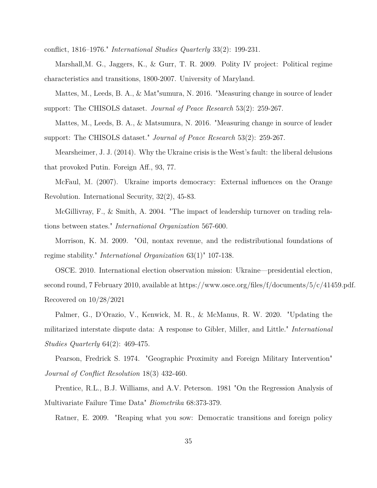conflict, 1816–1976." *International Studies Quarterly* 33(2): 199-231.

Marshall,M. G., Jaggers, K., & Gurr, T. R. 2009. Polity IV project: Political regime characteristics and transitions, 1800-2007. University of Maryland.

Mattes, M., Leeds, B. A., & Mat"sumura, N. 2016. "Measuring change in source of leader support: The CHISOLS dataset. *Journal of Peace Research* 53(2): 259-267.

Mattes, M., Leeds, B. A., & Matsumura, N. 2016. "Measuring change in source of leader support: The CHISOLS dataset." *Journal of Peace Research* 53(2): 259-267.

Mearsheimer, J. J. (2014). Why the Ukraine crisis is the West's fault: the liberal delusions that provoked Putin. Foreign Aff., 93, 77.

McFaul, M. (2007). Ukraine imports democracy: External influences on the Orange Revolution. International Security, 32(2), 45-83.

McGillivray, F., & Smith, A. 2004. "The impact of leadership turnover on trading relations between states." *International Organization* 567-600.

Morrison, K. M. 2009. "Oil, nontax revenue, and the redistributional foundations of regime stability." *International Organization* 63(1)" 107-138.

OSCE. 2010. International election observation mission: Ukraine—presidential election, second round, 7 February 2010, available at https://www.osce.org/files/f/documents/5/c/41459.pdf. Recovered on 10/28/2021

Palmer, G., D'Orazio, V., Kenwick, M. R., & McManus, R. W. 2020. "Updating the militarized interstate dispute data: A response to Gibler, Miller, and Little." *International Studies Quarterly* 64(2): 469-475.

Pearson, Fredrick S. 1974. "Geographic Proximity and Foreign Military Intervention" *Journal of Conflict Resolution* 18(3) 432-460.

Prentice, R.L., B.J. Williams, and A.V. Peterson. 1981 "On the Regression Analysis of Multivariate Failure Time Data" *Biometrika* 68:373-379.

Ratner, E. 2009. "Reaping what you sow: Democratic transitions and foreign policy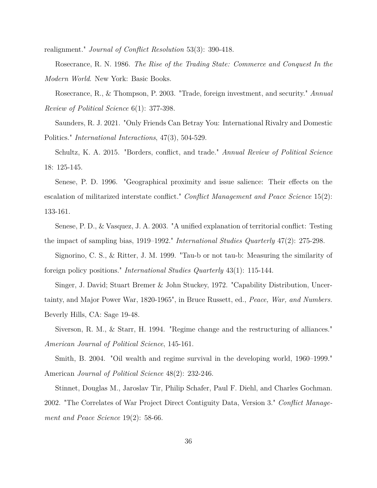realignment." *Journal of Conflict Resolution* 53(3): 390-418.

Rosecrance, R. N. 1986. *The Rise of the Trading State: Commerce and Conquest In the Modern World*. New York: Basic Books.

Rosecrance, R., & Thompson, P. 2003. "Trade, foreign investment, and security." *Annual Review of Political Science* 6(1): 377-398.

Saunders, R. J. 2021. "Only Friends Can Betray You: International Rivalry and Domestic Politics." *International Interactions*, 47(3), 504-529.

Schultz, K. A. 2015. "Borders, conflict, and trade." *Annual Review of Political Science* 18: 125-145.

Senese, P. D. 1996. "Geographical proximity and issue salience: Their effects on the escalation of militarized interstate conflict." *Conflict Management and Peace Science* 15(2): 133-161.

Senese, P. D., & Vasquez, J. A. 2003. "A unified explanation of territorial conflict: Testing the impact of sampling bias, 1919–1992." *International Studies Quarterly* 47(2): 275-298.

Signorino, C. S., & Ritter, J. M. 1999. "Tau-b or not tau-b: Measuring the similarity of foreign policy positions." *International Studies Quarterly* 43(1): 115-144.

Singer, J. David; Stuart Bremer & John Stuckey, 1972. "Capability Distribution, Uncertainty, and Major Power War, 1820-1965", in Bruce Russett, ed., *Peace, War, and Numbers.* Beverly Hills, CA: Sage 19-48.

Siverson, R. M., & Starr, H. 1994. "Regime change and the restructuring of alliances." *American Journal of Political Science*, 145-161.

Smith, B. 2004. "Oil wealth and regime survival in the developing world, 1960–1999." American *Journal of Political Science* 48(2): 232-246.

Stinnet, Douglas M., Jaroslav Tir, Philip Schafer, Paul F. Diehl, and Charles Gochman. 2002. "The Correlates of War Project Direct Contiguity Data, Version 3." *Conflict Management and Peace Science* 19(2): 58-66.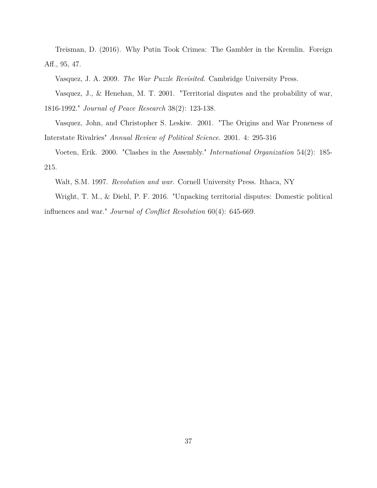Treisman, D. (2016). Why Putin Took Crimea: The Gambler in the Kremlin. Foreign Aff., 95, 47.

Vasquez, J. A. 2009. *The War Puzzle Revisited*. Cambridge University Press.

Vasquez, J., & Henehan, M. T. 2001. "Territorial disputes and the probability of war, 1816-1992." *Journal of Peace Research* 38(2): 123-138.

Vasquez, John, and Christopher S. Leskiw. 2001. "The Origins and War Proneness of Interstate Rivalries" *Annual Review of Political Science*. 2001. 4: 295-316

Voeten, Erik. 2000. "Clashes in the Assembly." *International Organization* 54(2): 185- 215.

Walt, S.M. 1997. *Revolution and war*. Cornell University Press. Ithaca, NY

Wright, T. M., & Diehl, P. F. 2016. "Unpacking territorial disputes: Domestic political influences and war." *Journal of Conflict Resolution* 60(4): 645-669.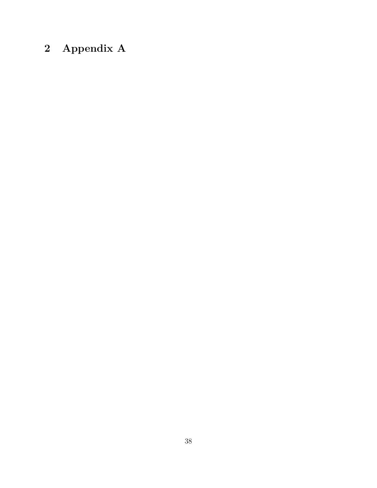# **2 Appendix A**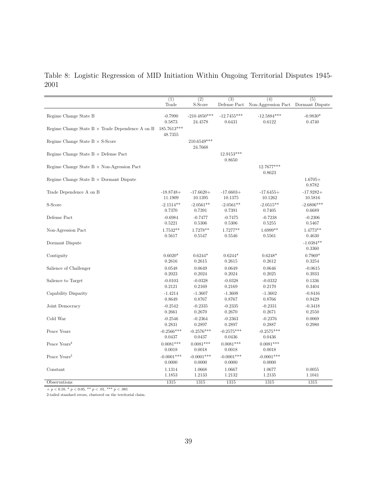Table 8: Logistic Regression of MID Initiation Within Ongoing Territorial Disputes 1945- 2001

|                                                        | (1)                    | $\overline{(2)}$       | $\overline{(3)}$       | (4)                    | $\overline{(5)}$      |
|--------------------------------------------------------|------------------------|------------------------|------------------------|------------------------|-----------------------|
|                                                        | Trade                  | S-Score                | Defense Pact           | Non-Aggression Pact    | Dormant Dispute       |
| Regime Change State B                                  | $-0.7990$              | $-210.4850***$         | $-12.7455***$          | $-12.5884***$          | $-0.9830*$            |
|                                                        | 0.5873                 | 24.4578                | 0.6431                 | 0.6122                 | 0.4740                |
| Regime Change State $B \times$ Trade Dependence A on B | 185.7613***<br>48.7355 |                        |                        |                        |                       |
| Regime Change State $B \times S$ -Score                |                        | 210.6549***<br>24.7668 |                        |                        |                       |
| Regime Change State $B \times$ Defense Pact            |                        |                        | 12.9153***<br>0.8650   |                        |                       |
| Regime Change State $B \times$ Non-Agression Pact      |                        |                        |                        | 12.7677***<br>0.8623   |                       |
| Regime Change State $B \times$ Dormant Dispute         |                        |                        |                        |                        | $1.6705+$<br>0.8782   |
| Trade Dependence A on B                                | $-18.8748+$            | $-17.6620+$            | $-17.6603+$            | $-17.6455+$            | $-17.9282+$           |
|                                                        | 11.1909                | 10.1395                | 10.1375                | 10.1262                | 10.5816               |
| S-Score                                                | $-2.1514**$            | $-2.0561**$            | $-2.0561**$            | $-2.0515**$            | $-2.6806***$          |
|                                                        | 0.7370                 | 0.7391                 | 0.7391                 | 0.7405                 | 0.6689                |
| Defense Pact                                           | $-0.6984$              | $-0.7477$              | $-0.7475$              | $-0.7238$              | $-0.2306$             |
|                                                        | 0.5221                 | 0.5306                 | 0.5306                 | 0.5255                 | 0.5467                |
| Non-Agression Pact                                     | 1.7532**               | 1.7278**               | 1.7277**               | $1.6999**$             | 1.4773**              |
|                                                        | 0.5617                 | 0.5547                 | 0.5546                 | 0.5561                 | 0.4630                |
| Dormant Dispute                                        |                        |                        |                        |                        | $-1.0384**$<br>0.3360 |
| Contiguity                                             | $0.6020*$              | $0.6244*$              | $0.6244*$              | $0.6248*$              | $0.7969*$             |
|                                                        | 0.2616                 | 0.2615                 | 0.2615                 | 0.2612                 | 0.3254                |
| Salience of Challenger                                 | 0.0548                 | 0.0649                 | 0.0649                 | 0.0646                 | $-0.0615$             |
|                                                        | 0.2023                 | 0.2024                 | 0.2024                 | 0.2025                 | 0.3933                |
| Salience to Target                                     | $-0.0103$              | $-0.0328$              | $-0.0328$              | $-0.0332$              | 0.1336                |
|                                                        | 0.2121                 | 0.2169                 | 0.2169                 | 0.2170                 | 0.3404                |
| Capability Disparity                                   | $-1.4214$              | $-1.3607$              | $-1.3608$              | $-1.3602$              | $-0.8416$             |
|                                                        | 0.8649                 | 0.8767                 | 0.8767                 | 0.8766                 | 0.9429                |
| Joint Democracy                                        | $-0.2542$              | $-0.2335$              | $-0.2335$              | $-0.2331$              | $-0.3418$             |
|                                                        | 0.2661                 | 0.2670                 | 0.2670                 | 0.2671                 | 0.2550                |
| Cold War                                               | $-0.2546$              | $-0.2364$              | $-0.2363$              | $-0.2376$              | 0.0069                |
|                                                        | 0.2831                 | 0.2897                 | 0.2897                 | 0.2887                 | 0.2980                |
| Peace Years                                            | $-0.2566***$<br>0.0437 | $-0.2576***$<br>0.0437 | $-0.2575***$<br>0.0436 | $-0.2575***$<br>0.0436 |                       |
| Peace Years <sup>2</sup>                               | $0.0081***$<br>0.0018  | $0.0081***$<br>0.0018  | $0.0081***$<br>0.0018  | $0.0081***$<br>0.0018  |                       |
| Peace Years <sup>3</sup>                               | $-0.0001***$<br>0.0000 | $-0.0001***$<br>0.0000 | $-0.0001***$<br>0.0000 | $-0.0001***$<br>0.0000 |                       |
| Constant                                               | 1.1314                 | 1.0668                 | 1.0667                 | 1.0677                 | 0.0055                |
|                                                        | 1.1853                 | 1.2133                 | 1.2132                 | 1.2135                 | 1.1041                |
| Observations                                           | 1315                   | 1315                   | 1315                   | 1315                   | 1315                  |

 $+p < 0.10, * p < 0.05, ** p < .01, ** p < .001$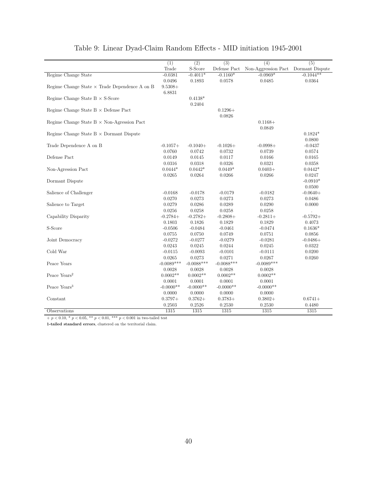|                                                      | $\overline{(1)}$ | $\overline{(2)}$ | $\overline{(3)}$ | (4)                                 | $\overline{(5)}$ |
|------------------------------------------------------|------------------|------------------|------------------|-------------------------------------|------------------|
|                                                      | Trade            | S-Score          | Defense Pact     | Non-Aggression Pact Dormant Dispute |                  |
| Regime Change State                                  | $-0.0381$        | $-0.4011*$       | $-0.1160*$       | $-0.0969*$                          | $-0.1044**$      |
|                                                      | 0.0496           | 0.1893           | 0.0578           | 0.0485                              | 0.0364           |
| Regime Change State $\times$ Trade Dependence A on B | $9.5308+$        |                  |                  |                                     |                  |
|                                                      | 6.8831           |                  |                  |                                     |                  |
| Regime Change State $B \times S$ -Score              |                  | $0.4138*$        |                  |                                     |                  |
|                                                      |                  | 0.2404           |                  |                                     |                  |
| Regime Change State $B \times$ Defense Pact          |                  |                  | $0.1296+$        |                                     |                  |
|                                                      |                  |                  | 0.0826           |                                     |                  |
| Regime Change State $B \times$ Non-Agression Pact    |                  |                  |                  | $0.1168+$                           |                  |
|                                                      |                  |                  |                  | 0.0849                              |                  |
| Regime Change State $B \times$ Dormant Dispute       |                  |                  |                  |                                     | $0.1824*$        |
|                                                      |                  |                  |                  |                                     | 0.0800           |
| Trade Dependence A on B                              | $-0.1057+$       | $-0.1040+$       | $-0.1026+$       | $-0.0998+$                          | $-0.0437$        |
|                                                      | 0.0760           | 0.0742           | 0.0732           | 0.0739                              | 0.0574           |
| Defense Pact                                         | 0.0149           | 0.0145           | 0.0117           | 0.0166                              | 0.0165           |
|                                                      | 0.0316           | 0.0318           | 0.0326           | 0.0321                              | 0.0358           |
| Non-Agression Pact                                   | $0.0444*$        | $0.0442*$        | $0.0449*$        | $0.0403 +$                          | $0.0442*$        |
|                                                      | 0.0265           | 0.0264           | 0.0266           | 0.0266                              | 0.0247           |
| Dormant Dispute                                      |                  |                  |                  |                                     | $-0.0910*$       |
|                                                      |                  |                  |                  |                                     | 0.0500           |
| Salience of Challenger                               | $-0.0168$        | $-0.0178$        | $-0.0179$        | $-0.0182$                           | $-0.0640+$       |
|                                                      | 0.0270           | 0.0273           | 0.0273           | 0.0273                              | 0.0486           |
| Salience to Target                                   | 0.0279           | 0.0286           | 0.0289           | 0.0290                              | 0.0000           |
|                                                      | 0.0256           | 0.0258           | 0.0258           | 0.0258                              |                  |
| Capability Disparity                                 | $-0.2784+$       | $-0.2782+$       | $-0.2808+$       | $-0.2811+$                          | $-0.5792+$       |
|                                                      | 0.1803           | 0.1826           | 0.1829           | 0.1829                              | 0.4073           |
| $\operatorname{S-Score}$                             | $-0.0506$        | $-0.0484$        | $-0.0461$        | $-0.0474$                           | $0.1636*$        |
|                                                      | 0.0755           | 0.0750           | 0.0749           | 0.0751                              | 0.0856           |
| Joint Democracy                                      | $-0.0272$        | $-0.0277$        | $-0.0279$        | $-0.0281$                           | $-0.0486+$       |
|                                                      | 0.0243           | 0.0245           | 0.0244           | 0.0245                              | 0.0322           |
| Cold War                                             | $-0.0115$        | $-0.0093$        | $-0.0101$        | $-0.0111$                           | 0.0200           |
|                                                      | 0.0265           | 0.0273           | 0.0271           | 0.0267                              | 0.0260           |
| Peace Years                                          | $-0.0089***$     | $-0.0088***$     | $-0.0088***$     | $-0.0089***$                        |                  |
|                                                      | 0.0028           | 0.0028           | 0.0028           | 0.0028                              |                  |
| Peace Years <sup>2</sup>                             | $0.0002**$       | $0.0002**$       | $0.0002**$       | $0.0002**$                          |                  |
|                                                      | 0.0001           | 0.0001           | 0.0001           | 0.0001                              |                  |
| Peace Years <sup>3</sup>                             | $-0.0000**$      | $-0.0000**$      | $-0.0000**$      | $-0.0000**$                         |                  |
|                                                      | 0.0000           | 0.0000           | 0.0000           | 0.0000                              |                  |
| Constant                                             | $0.3797+$        | $0.3762+$        | $0.3783+$        | $0.3802+$                           | $0.6741+$        |
|                                                      | 0.2503           | 0.2526           | 0.2530           | 0.2530                              | 0.4480           |
| Observations                                         | 1315             | 1315             | 1315             | 1315                                | 1315             |

## Table 9: Linear Dyad-Claim Random Effects - MID initiation 1945-2001

 $+$   $p$   $<$  0.10,  $^{*}$   $p$   $<$  0.05,  $^{**}$   $p$   $<$  0.01,  $^{***}$   $p$   $<$  0.001 in two-tailed test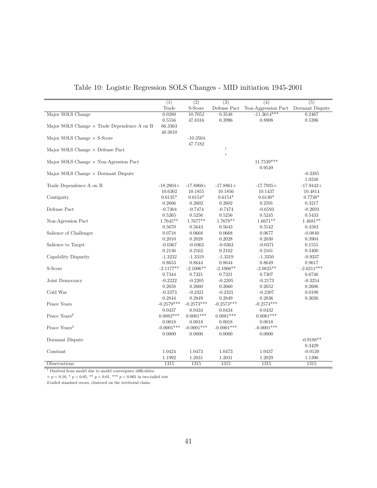|                                                    | $\overline{(1)}$         | $\overline{(2)}$         | $\overline{(3)}$         | $\overline{(4)}$         | $\overline{(5)}$                      |
|----------------------------------------------------|--------------------------|--------------------------|--------------------------|--------------------------|---------------------------------------|
|                                                    | Trade                    | S-Score                  | Defense ${\sf Fact}$     | Non-Aggression Pact      | Dormant Dispute                       |
| Major SOLS Change                                  | 0.0280                   | 10.7052                  | 0.3548                   | $-11.3614***$            | 0.2467                                |
|                                                    | 0.5556                   | 47.8316                  | 0.3996                   | 0.8908                   | 0.5396                                |
| Major SOLS Change $\times$ Trade Dependence A on B | 66.3363                  |                          |                          |                          |                                       |
|                                                    | 48.3810                  |                          |                          |                          |                                       |
| Major SOLS Change $\times$ S-Score                 |                          | $-10.3504$               |                          |                          |                                       |
|                                                    |                          | 47.7182                  |                          |                          |                                       |
| Major SOLS Change $\times$ Defense Pact            |                          |                          | $\,1\,$<br>$\,1$         |                          |                                       |
|                                                    |                          |                          |                          |                          |                                       |
| Major SOLS Change $\times$ Non-Agression Pact      |                          |                          |                          | $11.7539***$             |                                       |
|                                                    |                          |                          |                          | 0.9549                   |                                       |
| Major SOLS Change $\times$ Dormant Dispute         |                          |                          |                          |                          | $-0.3385$                             |
|                                                    |                          |                          |                          |                          | 1.0248<br>$-17.9442+$                 |
| Trade Dependence A on B                            | $-18.2804+$              | $-17.8860+$              | $-17.8861+$              | $-17.7935+$              |                                       |
| Contiguity                                         | 10.6302<br>$0.6135*$     | 10.1855<br>$0.6154*$     | 10.1856<br>$0.6154*$     | 10.1437<br>$0.6130*$     | 10.4814<br>$0.7738*$                  |
|                                                    | 0.2606                   | 0.2602                   | 0.2602                   | 0.2591                   | 0.3217                                |
| Defense Pact                                       | $-0.7304$                | $-0.7474$                | $-0.7474$                | $-0.6593$                | $-0.2693$                             |
|                                                    | 0.5265                   | 0.5256                   | 0.5256                   | 0.5245                   | 0.5433                                |
| Non-Agression Pact                                 | $1.7645**$               | $1.7677**$               | 1.7678**                 | $1.6671**$               | $1.4681**$                            |
|                                                    | 0.5670                   | 0.5643                   | 0.5643                   | 0.5542                   | 0.4583                                |
| Salience of Challenger                             | 0.0718                   | 0.0668                   | 0.0668                   | 0.0677                   | $-0.0840$                             |
|                                                    | 0.2010                   | 0.2028                   | 0.2028                   | 0.2030                   | 0.3904                                |
| Salience to Target                                 | $-0.0367$                | $-0.0363$                | $-0.0363$                | $-0.0371$                | 0.1555                                |
|                                                    | 0.2136                   | 0.2162                   | 0.2162                   | 0.2161                   | 0.3400                                |
| Capability Disparity                               | $-1.3232$                | $-1.3319$                | $-1.3319$                | $-1.3350$                | $-0.9337$                             |
|                                                    | 0.8653                   | 0.8644                   | 0.8644                   | 0.8649                   | 0.9617                                |
| S-Score                                            | $-2.1177**$              | $-2.1006**$              | $-2.1006**$              | $-2.0825**$              | $-2.6211***$                          |
|                                                    | 0.7344                   | 0.7321                   | 0.7321                   | 0.7307                   | 0.6746                                |
| Joint Democracy                                    | $-0.2222$                | $-0.2205$                | $-0.2205$                | $-0.2173$                | $-0.3254$                             |
|                                                    | 0.2658                   | 0.2660                   | 0.2660                   | 0.2652                   | 0.2606                                |
| Cold War                                           | $-0.2373$                | $-0.2321$                | $-0.2321$                | $-0.2307$                | 0.0198                                |
|                                                    | 0.2844                   | 0.2849                   | 0.2849                   | 0.2836                   | 0.3026                                |
| Peace Years                                        | $-0.2579***$             | $-0.2573***$             | $-0.2573***$             | $-0.2574***$             |                                       |
|                                                    | 0.0437                   | 0.0434                   | 0.0434                   | 0.0432                   |                                       |
| Peace Years <sup>2</sup>                           | $0.0082***$              | $0.0081***$              | $0.0081***$              | $0.0081***$              |                                       |
|                                                    | 0.0018                   | 0.0018                   | 0.0018                   | 0.0018                   |                                       |
| Peace Years <sup>3</sup>                           | $-0.0001***$             | $-0.0001***$             | $-0.0001***$             | $-0.0001***$             |                                       |
|                                                    | 0.0000                   | 0.0000                   | 0.0000                   | 0.0000                   |                                       |
| Dormant Dispute                                    |                          |                          |                          |                          | $-0.9188**$                           |
|                                                    |                          |                          |                          |                          |                                       |
|                                                    |                          |                          |                          |                          |                                       |
|                                                    |                          |                          |                          |                          |                                       |
| Constant<br>Observations                           | 1.0424<br>1.1992<br>1315 | 1.0473<br>1.2031<br>1315 | 1.0473<br>1.2031<br>1315 | 1.0437<br>1.2029<br>1315 | 0.3429<br>$-0.0120$<br>1.1396<br>1315 |

## Table 10: Logistic Regression SOLS Changes - MID initiation 1945-2001

 $\overline{\hphantom{a}^{\hphantom{1}}\hphantom{a}^{\hphantom{1}}\hphantom{a}}$  Omitted from model due to model convergence difficulties.

 $p < 0.10, \,^* p < 0.05, \, ^{**} p < 0.01, \, ^{***} p < 0.001$  in two-tailed test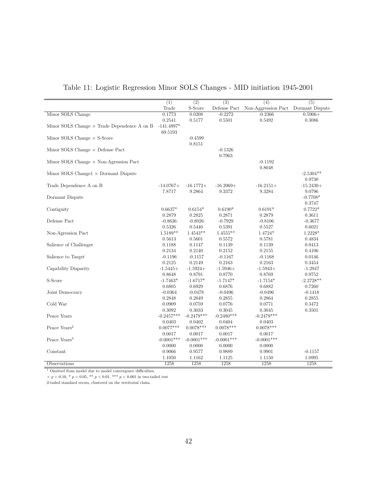|                                                    | $\overline{(1)}$ | $\overline{(2)}$ | $\overline{(3)}$ | $\overline{(4)}$    | $\overline{(5)}$ |
|----------------------------------------------------|------------------|------------------|------------------|---------------------|------------------|
|                                                    | Trade            | S-Score          | Defense Pact     | Non-Aggression Pact | Dormant Dispute  |
| Minor SOLS Change                                  | 0.1773           | 0.0208           | $-0.2272$        | $-0.2366$           | $0.5906+$        |
|                                                    | 0.2541           | 0.5177           | 0.5501           | 0.5492              | 0.3086           |
| Minor SOLS Change $\times$ Trade Dependence A on B | $-141.4897*$     |                  |                  |                     |                  |
|                                                    | 69.5193          |                  |                  |                     |                  |
| Minor SOLS Change $\times$ S-Score                 |                  | $-0.4599$        |                  |                     |                  |
|                                                    |                  | 0.8151           |                  |                     |                  |
| Minor SOLS Change $\times$ Defense Pact            |                  |                  | $-0.1326$        |                     |                  |
|                                                    |                  |                  | 0.7963           |                     |                  |
| Minor SOLS Change $\times$ Non-Agression Pact      |                  |                  |                  | $-0.1192$           |                  |
|                                                    |                  |                  |                  | 0.8048              |                  |
| Minor SOLS Change $1 \times$ Dormant Dispute       |                  |                  |                  |                     | $-2.5304**$      |
|                                                    |                  |                  |                  |                     | 0.9730           |
| Trade Dependence A on B                            | $-14.0767+$      | $-16.1772+$      | $-16.2069+$      | $-16.2151+$         | $-15.2430+$      |
|                                                    | 7.8717           | 9.2864           | 9.3372           | 9.3284              | 9.0796           |
| Dormant Dispute                                    |                  |                  |                  |                     | $-0.7708*$       |
|                                                    |                  |                  |                  |                     | 0.3747           |
| Contiguity                                         | $0.6637*$        | $0.6154*$        | $0.6190*$        | $0.6191*$           | $0.7722*$        |
|                                                    | 0.2879           | 0.2825           | 0.2871           | 0.2879              | 0.3611           |
| Defense Pact                                       | $-0.8636$        | $-0.8026$        | $-0.7929$        | $-0.8106$           | $-0.3677$        |
|                                                    | 0.5326           | 0.5440           | 0.5391           | 0.5527              | 0.6021           |
| Non-Agression Pact                                 | $1.5189**$       | $1.4543**$       | $1.4555**$       | 1.4724*             | 1.2228*          |
|                                                    | 0.5613           | 0.5601           | 0.5572           | 0.5781              | 0.4834           |
| Salience of Challenger                             | 0.1188           | 0.1147           | 0.1139           | 0.1139              | 0.0413           |
|                                                    | 0.2134           | 0.2140           | 0.2152           | 0.2155              | 0.4106           |
| Salience to Target                                 | $-0.1196$        | $-0.1157$        | $-0.1167$        | $-0.1168$           | 0.0146           |
|                                                    | 0.2125           | 0.2149           | 0.2163           | 0.2163              | 0.3454           |
| Capability Disparity                               | $-1.5445+$       | $-1.5924+$       | $-1.5946+$       | $-1.5943+$          | $-1.2947$        |
|                                                    | 0.8648           | 0.8791           | 0.8770           | 0.8769              | 0.9752           |
| S-Score                                            | $-1.7463*$       | $-1.6717*$       | $-1.7147*$       | $-1.7154*$          | $-2.2728**$      |
|                                                    | 0.6805           | 0.6929           | 0.6876           | 0.6882              | 0.7260           |
| Joint Democracy                                    | $-0.0364$        | $-0.0478$        | $-0.0496$        | $-0.0496$           | $-0.1418$        |
|                                                    | 0.2848           | 0.2849           | 0.2855           | 0.2864              | 0.2855           |
| Cold War                                           | 0.0909           | 0.0759           | 0.0776           | 0.0771              | 0.3472           |
|                                                    | 0.3092           | 0.3033           | 0.3045           | 0.3045              | 0.3501           |
| Peace Years                                        | $-0.2457***$     | $-0.2479***$     | $-0.2480***$     | $-0.2479***$        |                  |
|                                                    | 0.0403           | 0.0402           | 0.0404           | 0.0403              |                  |
| Peace Years <sup>2</sup>                           | $0.0077***$      | $0.0078***$      | $0.0078***$      | $0.0078***$         |                  |
|                                                    | 0.0017           | 0.0017           | 0.0017           | 0.0017              |                  |
| Peace Years <sup>3</sup>                           | $-0.0001***$     | $-0.0001***$     | $-0.0001***$     | $-0.0001***$        |                  |
|                                                    | 0.0000           | 0.0000           | 0.0000           | 0.0000              |                  |
| Constant                                           | 0.9066           | 0.9577           | 0.9889           | 0.9901              | $-0.1157$        |
|                                                    | 1.1050           | 1.1162           | 1.1125           | 1.1150              | 1.0995           |
| Observations                                       | 1258             | 1258             | 1258             | 1258                | 1258             |

## Table 11: Logistic Regression Minor SOLS Changes - MID initiation 1945-2001

<sup>1</sup> Omitted from model due to model convergence difficulties.

 $p < 0.10, \,^* p < 0.05, \, ^{**} p < 0.01, \, ^{***} p < 0.001$  in two-tailed test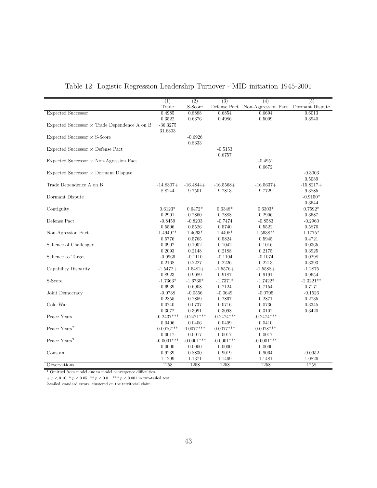|                                                     | $\overline{(1)}$       | $\overline{(2)}$       | $\overline{(3)}$       | $\overline{(4)}$                    | $\overline{(5)}$      |
|-----------------------------------------------------|------------------------|------------------------|------------------------|-------------------------------------|-----------------------|
|                                                     | Trade                  | S-Score                | Defense Pact           | Non-Aggression Pact Dormant Dispute |                       |
| <b>Expected Successor</b>                           | 0.4985                 | 0.8888                 | 0.6854                 | 0.6694                              | 0.6013                |
|                                                     | 0.3522                 | 0.6376                 | 0.4986                 | 0.5009                              | 0.3940                |
| Expected Successor $\times$ Trade Dependence A on B | $-36.3275$             |                        |                        |                                     |                       |
|                                                     | 31.6303                |                        |                        |                                     |                       |
| Expected Successor $\times$ S-Score                 |                        | $-0.6926$              |                        |                                     |                       |
|                                                     |                        | 0.8333                 |                        |                                     |                       |
| $Expected Successor \times Defense$ Pact            |                        |                        | $-0.5153$              |                                     |                       |
|                                                     |                        |                        | 0.6757                 |                                     |                       |
| Expected Successor $\times$ Non-Agression Pact      |                        |                        |                        | $-0.4951$                           |                       |
|                                                     |                        |                        |                        | 0.6672                              |                       |
| $Expected Successor \times Dormant Dispute$         |                        |                        |                        |                                     | $-0.3003$             |
|                                                     |                        |                        |                        |                                     | 0.5089                |
| Trade Dependence A on B                             | $-14.8307+$            | $-16.4844+$            | $-16.5568+$            | $-16.5637+$                         | $-15.8217+$           |
|                                                     | 8.8244                 | 9.7501                 | 9.7813                 | 9.7729                              | 9.3885                |
| Dormant Dispute                                     |                        |                        |                        |                                     | $-0.9150*$            |
|                                                     |                        |                        |                        |                                     | 0.3644                |
| Contiguity                                          | $0.6123*$              | $0.6472*$              | $0.6348*$              | $0.6303*$                           | $0.7592*$             |
|                                                     | 0.2901                 | 0.2860                 | 0.2888                 | 0.2906                              | 0.3587                |
| Defense Pact                                        | $-0.8459$              | $-0.8203$              | $-0.7474$              | $-0.8583$                           | $-0.2960$             |
|                                                     | 0.5506                 | 0.5526                 | 0.5740                 | 0.5522                              | 0.5876                |
| Non-Agression Pact                                  | $1.4949**$             | $1.4663*$              | $1.4498*$              | $1.5638**$                          | $1.1775*$             |
|                                                     | 0.5776                 | 0.5765                 | 0.5824                 | 0.5945                              | 0.4721                |
| Salience of Challenger                              | 0.0907                 | 0.1002                 | 0.1042                 | 0.1016                              | 0.0365                |
|                                                     | 0.2093                 | 0.2148                 | 0.2188                 | 0.2175                              | 0.3925                |
| Salience to Target                                  | $-0.0966$              | $-0.1110$              | $-0.1104$              | $-0.1074$                           | 0.0298                |
|                                                     | 0.2168                 | 0.2227                 | 0.2226                 | 0.2213                              | 0.3393                |
| Capability Disparity                                | $-1.5472+$             | $-1.5482+$             | $-1.5576+$             | $-1.5588+$                          | $-1.2875$             |
| S-Score                                             | 0.8923<br>$-1.7363*$   | 0.9089                 | 0.9187<br>$-1.7371*$   | 0.9191<br>$-1.7422*$                | 0.9654<br>$-2.3221**$ |
|                                                     | 0.6939                 | $-1.6730*$             | 0.7124                 |                                     |                       |
|                                                     |                        | 0.6908                 |                        | 0.7154                              | 0.7171                |
| Joint Democracy                                     | $-0.0738$<br>0.2855    | $-0.0556$<br>0.2859    | $-0.0649$<br>0.2867    | $-0.0705$<br>0.2871                 | $-0.1526$<br>0.2735   |
| Cold War                                            | 0.0740                 | 0.0737                 | 0.0716                 | 0.0736                              | 0.3345                |
|                                                     |                        |                        |                        |                                     |                       |
| Peace Years                                         | 0.3072<br>$-0.2437***$ | 0.3091<br>$-0.2471***$ | 0.3098<br>$-0.2474***$ | 0.3102<br>$-0.2474***$              | 0.3420                |
|                                                     | 0.0406                 | 0.0406                 | 0.0409                 | 0.0410                              |                       |
| Peace Years <sup>2</sup>                            | $0.0076***$            | $0.0077***$            | $0.0077***$            | $0.0078***$                         |                       |
|                                                     | 0.0017                 | 0.0017                 | 0.0017                 | 0.0017                              |                       |
| Peace Years <sup>3</sup>                            | $-0.0001***$           | $-0.0001***$           | $-0.0001***$           | $-0.0001***$                        |                       |
|                                                     | 0.0000                 | 0.0000                 | 0.0000                 |                                     |                       |
| Constant                                            | 0.9239                 | 0.8830                 | 0.9019                 | 0.0000<br>0.9064                    | $-0.0952$             |
|                                                     | 1.1299                 | 1.1371                 | 1.1469                 | 1.1481                              | 1.0826                |
| Observations                                        | 1258                   | 1258                   | 1258                   | 1258                                | 1258                  |
|                                                     |                        |                        |                        |                                     |                       |

Table 12: Logistic Regression Leadership Turnover - MID initiation 1945-2001

 $\overline{\phantom{a}1}$  Omitted from model due to model convergence difficulties.

 $+$   $p$   $<$  0.10,  $^{\ast}$   $p$   $<$  0.05,  $^{\ast\ast}$   $p$   $<$  0.01,  $^{\ast\ast\ast}$   $p$   $<$  0.001 in two-tailed test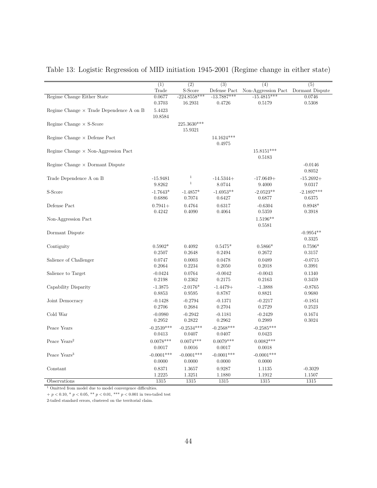|                                                | $\overline{(1)}$       | $\overline{(2)}$          | $\overline{(3)}$        | (4)                                 | $\overline{(5)}$       |
|------------------------------------------------|------------------------|---------------------------|-------------------------|-------------------------------------|------------------------|
|                                                | Trade                  | S-Score                   | Defense Pact            | Non-Aggression Pact Dormant Dispute |                        |
| Regime Change Either State                     | 0.0677<br>0.3703       | $-224.8558***$<br>16.2931 | $-13.7887***$<br>0.4726 | $-15.4815***$<br>0.5179             | 0.0746<br>$0.5308\,$   |
| Regime Change $\times$ Trade Dependence A on B | 5.4423<br>10.8584      |                           |                         |                                     |                        |
| Regime Change $\times$ S-Score                 |                        | 225.3630***<br>15.9321    |                         |                                     |                        |
| Regime Change $\times$ Defense Pact            |                        |                           | 14.1624***<br>0.4975    |                                     |                        |
| Regime Change $\times$ Non-Aggression Pact     |                        |                           |                         | 15.8151***<br>0.5183                |                        |
| Regime Change $\times$ Dormant Dispute         |                        |                           |                         |                                     | $-0.0146$<br>0.8052    |
| Trade Dependence A on B                        | $-15.9481$<br>9.8262   | $\,1\,$<br>$\,1\,$        | $-14.5344+$<br>8.0744   | $-17.0649+$<br>9.4000               | $-15.2692+$<br>9.0317  |
| S-Score                                        | $-1.7643*$<br>0.6886   | $-1.4857*$<br>0.7074      | $-1.6953**$<br>0.6427   | $-2.0523**$<br>$0.6877\,$           | $-2.1897***$<br>0.6375 |
| Defense Pact                                   | $0.7941+$<br>0.4242    | 0.4764<br>0.4090          | 0.6317<br>0.4064        | $-0.6304$<br>0.5359                 | $0.8948*$<br>0.3918    |
| Non-Aggression Pact                            |                        |                           |                         | 1.5196**<br>0.5581                  |                        |
| Dormant Dispute                                |                        |                           |                         |                                     | $-0.9954**$<br>0.3325  |
| Contiguity                                     | $0.5902*$<br>0.2507    | 0.4092<br>0.2648          | $0.5475*$<br>0.2494     | $0.5866*$<br>0.2672                 | $0.7596*$<br>0.3157    |
| Salience of Challenger                         | 0.0747<br>0.2064       | 0.0003<br>0.2234          | 0.0478<br>0.2050        | 0.0489<br>0.2018                    | $-0.0715$<br>0.3991    |
| Salience to Target                             | $-0.0424$<br>0.2198    | 0.0764<br>0.2362          | $-0.0042$<br>0.2175     | $-0.0043$<br>0.2163                 | 0.1340<br>0.3459       |
| Capability Disparity                           | $-1.3875$<br>0.8853    | $-2.0176*$<br>0.9595      | $-1.4479+$<br>0.8787    | $-1.3888$<br>0.8821                 | $-0.8765$<br>0.9680    |
| Joint Democracy                                | $-0.1428$<br>0.2706    | $-0.2794$<br>0.2684       | $-0.1371$<br>0.2704     | $-0.2217$<br>0.2729                 | $-0.1851$<br>0.2523    |
| Cold War                                       | $-0.0980$<br>0.2952    | $-0.2942$<br>0.2822       | $-0.1181$<br>0.2962     | $-0.2429$<br>0.2989                 | 0.1674<br>0.3024       |
| Peace Years                                    | $-0.2539***$<br>0.0413 | $-0.2534***$<br>0.0407    | $-0.2568***$<br>0.0407  | $-0.2585***$<br>0.0423              |                        |
| Peace $\text{Years}^2$                         | $0.0078***$<br>0.0017  | $0.0074***$<br>0.0016     | $0.0079***$<br>0.0017   | $0.0082***$<br>0.0018               |                        |
| Peace Years <sup>3</sup>                       | $-0.0001***$<br>0.0000 | $-0.0001***$<br>0.0000    | $-0.0001***$<br>0.0000  | $-0.0001***$<br>0.0000              |                        |
| Constant                                       | 0.8371<br>1.2225       | 1.3657<br>1.3251          | 0.9287<br>1.1880        | 1.1135<br>1.1912                    | $-0.3029$<br>1.1507    |
| Observations                                   | 1315                   | 1315                      | 1315                    | 1315                                | 1315                   |

Table 13: Logistic Regression of MID initiation 1945-2001 (Regime change in either state)

 $^{\rm 1}$  Omitted from model due to model convergence difficulties.

 $+$   $p$   $<$  0.10,  $^{\ast}$   $p$   $<$  0.05,  $^{\ast\ast}$   $p$   $<$  0.01,  $^{\ast\ast\ast}$   $p$   $<$  0.001 in two-tailed test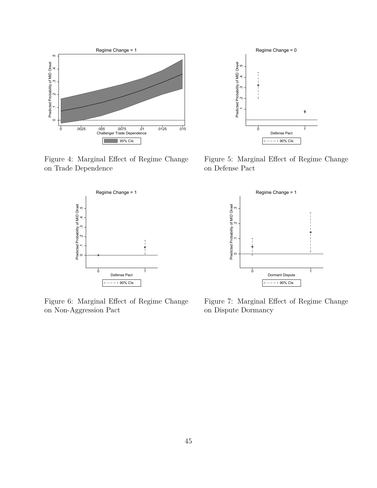

Figure 4: Marginal Effect of Regime Change



Figure 6: Marginal Effect of Regime Change on Non-Aggression Pact



Figure 5: Marginal Effect of Regime Change on Defense Pact



Figure 7: Marginal Effect of Regime Change on Dispute Dormancy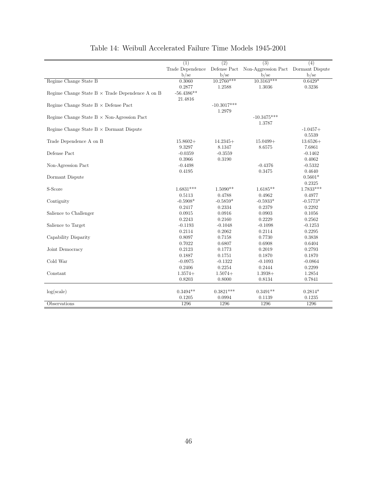|                                                        | (1)              | $\overline{(2)}$ | $\overline{(3)}$                    | (4)         |
|--------------------------------------------------------|------------------|------------------|-------------------------------------|-------------|
|                                                        | Trade Dependence | Defense Pact     | Non-Aggression Pact Dormant Dispute |             |
|                                                        | b/se             | b/sec            | b/se                                | b/se        |
| Regime Change State B                                  | 0.3060           | $10.2760***$     | $10.3163***$                        | $0.6429*$   |
|                                                        | 0.2877           | 1.2588           | 1.3036                              | 0.3236      |
| Regime Change State $B \times$ Trade Dependence A on B | $-56.4386**$     |                  |                                     |             |
|                                                        | 21.4816          |                  |                                     |             |
| Regime Change State $B \times$ Defense Pact            |                  | $-10.3017***$    |                                     |             |
|                                                        |                  | 1.2979           |                                     |             |
| Regime Change State $B \times$ Non-Agression Pact      |                  |                  | $-10.3475***$                       |             |
|                                                        |                  |                  | 1.3787                              |             |
| Regime Change State $B \times$ Dormant Dispute         |                  |                  |                                     | $-1.0457+$  |
|                                                        |                  |                  |                                     | 0.5539      |
| Trade Dependence A on B                                | $15.8602+$       | $14.2345+$       | $15.0499+$                          | $13.6526+$  |
|                                                        | 9.3297           | 8.1347           | 8.6575                              | 7.6861      |
| Defense Pact                                           | $-0.0359$        | $-0.3559$        |                                     | $-0.1462$   |
|                                                        | 0.3966           | 0.3190           |                                     | 0.4062      |
| Non-Agression Pact                                     | $-0.4498$        |                  | $-0.4376$                           | $-0.5332$   |
|                                                        | 0.4195           |                  | 0.3475                              | 0.4640      |
| Dormant Dispute                                        |                  |                  |                                     | $0.5601*$   |
|                                                        |                  |                  |                                     | 0.2325      |
| S-Score                                                | $1.6831***$      | $1.5090**$       | $1.6185**$                          | $1.7833***$ |
|                                                        | 0.5113           | 0.4788           | 0.4962                              | 0.4977      |
| Contiguity                                             | $-0.5908*$       | $-0.5859*$       | $-0.5933*$                          | $-0.5773*$  |
|                                                        | 0.2417           | 0.2334           | 0.2379                              | 0.2292      |
| Salience to Challenger                                 | 0.0915           | 0.0916           | 0.0903                              | 0.1056      |
|                                                        | 0.2243           | 0.2160           | 0.2229                              | 0.2562      |
| Salience to Target                                     | $-0.1193$        | $-0.1048$        | $-0.1098$                           | $-0.1253$   |
|                                                        | 0.2114           | 0.2062           | 0.2114                              | 0.2295      |
| Capability Disparity                                   | 0.8097           | 0.7158           | 0.7730                              | 0.3838      |
|                                                        | 0.7022           | 0.6807           | 0.6908                              | 0.6404      |
| Joint Democracy                                        | 0.2123           | 0.1773           | 0.2019                              | 0.2793      |
|                                                        | 0.1887           | 0.1751           | 0.1870                              | 0.1870      |
| $\operatorname{Cold}$ War                              | $-0.0975$        | $-0.1322$        | $-0.1093$                           | $-0.0864$   |
|                                                        | 0.2406           | 0.2254           | 0.2444                              | 0.2299      |
| Constant                                               | $1.3574+$        | $1.5074+$        | $1.3938+$                           | 1.2854      |
|                                                        | 0.8203           | 0.8000           | 0.8134                              | 0.7841      |
|                                                        |                  |                  |                                     |             |
| log(scale)                                             | $0.3494**$       | $0.3821***$      | $0.3491**$                          | $0.2814*$   |
|                                                        | 0.1205           | 0.0994           | 0.1139                              | 0.1235      |
| Observations                                           | 1296             | 1296             | 1296                                | 1296        |

## Table 14: Weibull Accelerated Failure Time Models 1945-2001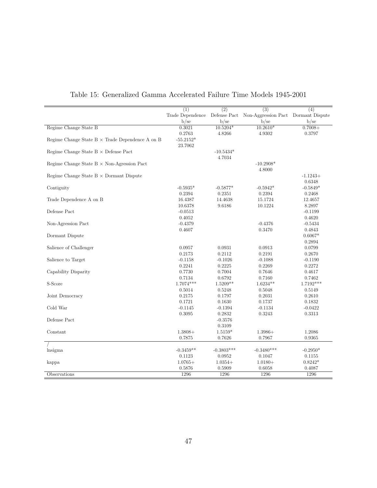|                                                        | $\overline{(1)}$ | $\overline{(2)}$ | $\overline{(3)}$                    | $\overline{(4)}$ |
|--------------------------------------------------------|------------------|------------------|-------------------------------------|------------------|
|                                                        | Trade Dependence | Defense Pact     | Non-Aggression Pact Dormant Dispute |                  |
|                                                        | b/sec            | b/sec            | $b$ /se                             | b/se             |
| Regime Change State B                                  | 0.3021           | $10.5204*$       | $10.2610*$                          | $0.7008+$        |
|                                                        | 0.2763           | 4.8266           | 4.9302                              | 0.3797           |
| Regime Change State $B \times$ Trade Dependence A on B | $-55.2152*$      |                  |                                     |                  |
|                                                        | 23.7062          |                  |                                     |                  |
| Regime Change State $B \times$ Defense Pact            |                  | $-10.5434*$      |                                     |                  |
|                                                        |                  | 4.7034           |                                     |                  |
| Regime Change State $B \times$ Non-Agression Pact      |                  |                  | $-10.2908*$                         |                  |
|                                                        |                  |                  | 4.8000                              |                  |
| Regime Change State $B \times$ Dormant Dispute         |                  |                  |                                     | $-1.1243+$       |
|                                                        |                  |                  |                                     | 0.6348           |
| Contiguity                                             | $-0.5935*$       | $-0.5877*$       | $-0.5942*$                          | $-0.5849*$       |
|                                                        | 0.2394           | 0.2351           | 0.2394                              | 0.2468           |
| Trade Dependence A on B                                | 16.4387          | 14.4638          | 15.1724                             | 12.4657          |
|                                                        | 10.6378          | 9.6186           | 10.1224                             | 8.2897           |
| Defense Pact                                           | $-0.0513$        |                  |                                     | $-0.1199$        |
|                                                        | 0.4052           |                  |                                     | 0.4620           |
| Non-Agression Pact                                     | $-0.4379$        |                  | $-0.4376$                           | $-0.5434$        |
|                                                        | 0.4607           |                  | 0.3470                              | 0.4843           |
| Dormant Dispute                                        |                  |                  |                                     | $0.6067*$        |
|                                                        |                  |                  |                                     | 0.2894           |
| Salience of Challenger                                 | 0.0957           | 0.0931           | 0.0913                              | 0.0799           |
|                                                        | 0.2173           | 0.2112           | 0.2191                              | 0.2670           |
| Salience to Target                                     | $-0.1158$        | $-0.1026$        | $-0.1088$                           | $-0.1190$        |
|                                                        | 0.2241           | 0.2225           | 0.2269                              | 0.2272           |
| Capability Disparity                                   | 0.7730           | 0.7004           | 0.7646                              | 0.4617           |
|                                                        | 0.7134           | 0.6792           | 0.7160                              | 0.7462           |
| S-Score                                                | 1.7074***        | $1.5209**$       | $1.6234**$                          | 1.7192***        |
|                                                        | 0.5014           | 0.5248           | 0.5048                              | 0.5149           |
| Joint Democracy                                        | 0.2175           | 0.1797           | 0.2031                              | 0.2610           |
|                                                        | 0.1721           | 0.1630           | 0.1737                              | 0.1832           |
| Cold War                                               | $-0.1145$        | $-0.1394$        | $-0.1134$                           | $-0.0422$        |
|                                                        | 0.3095           | 0.2832           | 0.3243                              | 0.3313           |
| Defense Pact                                           |                  | $-0.3576$        |                                     |                  |
|                                                        |                  | 0.3109           |                                     |                  |
| Constant                                               | $1.3808+$        | $1.5159*$        | $1.3986+$                           | 1.2086           |
|                                                        | 0.7875           | 0.7626           | 0.7967                              | 0.9365           |
|                                                        |                  |                  |                                     |                  |
| lnsigma                                                | $-0.3459**$      | $-0.3803***$     | $-0.3480***$                        | $-0.2950*$       |
|                                                        | 0.1123           | 0.0952           | 0.1047                              | 0.1155           |
| kappa                                                  | $1.0765+$        | $1.0354+$        | $1.0180+$                           | $0.8242*$        |
|                                                        | 0.5876           | 0.5909           | 0.6058                              | 0.4087           |
| Observations                                           | 1296             | 1296             | 1296                                | 1296             |

## Table 15: Generalized Gamma Accelerated Failure Time Models 1945-2001